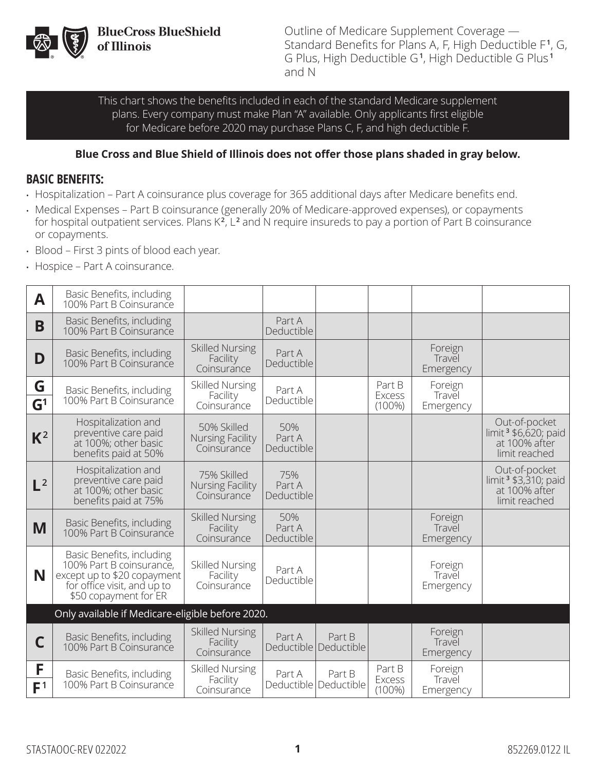

**BlueCross BlueShield<br>of Illinois** 

Outline of Medicare Supplement Coverage — Standard Benefits for Plans A, F, High Deductible F **1**, G, G Plus, High Deductible G **1**, High Deductible G Plus **<sup>1</sup>** and N

This chart shows the benefits included in each of the standard Medicare supplement plans. Every company must make Plan "A" available. Only applicants first eligible for Medicare before 2020 may purchase Plans C, F, and high deductible F.

#### **Blue Cross and Blue Shield of Illinois does not offer those plans shaded in gray below.**

#### **BASIC BENEFITS:**

- Hospitalization Part A coinsurance plus coverage for 365 additional days after Medicare benefits end.
- Medical Expenses Part B coinsurance (generally 20% of Medicare-approved expenses), or copayments for hospital outpatient services. Plans K<sup>2</sup>, L<sup>2</sup> and N require insureds to pay a portion of Part B coinsurance or copayments.
- Blood First 3 pints of blood each year.
- Hospice Part A coinsurance.

| A                   | Basic Benefits, including<br>100% Part B Coinsurance                                                                                         |                                                   |                             |                                   |                                      |                                |                                                                                     |
|---------------------|----------------------------------------------------------------------------------------------------------------------------------------------|---------------------------------------------------|-----------------------------|-----------------------------------|--------------------------------------|--------------------------------|-------------------------------------------------------------------------------------|
| B                   | Basic Benefits, including<br>100% Part B Coinsurance                                                                                         |                                                   | Part A<br>Deductible        |                                   |                                      |                                |                                                                                     |
| D                   | Basic Benefits, including<br>100% Part B Coinsurance                                                                                         | <b>Skilled Nursing</b><br>Facility<br>Coinsurance | Part A<br>Deductible        |                                   |                                      | Foreign<br>Travel<br>Emergency |                                                                                     |
| G<br>$\mathsf{G}^1$ | Basic Benefits, including<br>100% Part B Coinsurance                                                                                         | <b>Skilled Nursing</b><br>Facility<br>Coinsurance | Part A<br>Deductible        |                                   | Part B<br>Excess<br>$(100\%)$        | Foreign<br>Travel<br>Emergency |                                                                                     |
| $K^2$               | Hospitalization and<br>preventive care paid<br>at 100%; other basic<br>benefits paid at 50%                                                  | 50% Skilled<br>Nursing Facility<br>Coinsurance    | 50%<br>Part A<br>Deductible |                                   |                                      |                                | Out-of-pocket<br>limit <sup>3</sup> \$6,620; paid<br>at 100% after<br>limit reached |
| $L^2$               | Hospitalization and<br>preventive care paid<br>at 100%; other basic<br>benefits paid at 75%                                                  | 75% Skilled<br>Nursing Facility<br>Coinsurance    | 75%<br>Part A<br>Deductible |                                   |                                      |                                | Out-of-pocket<br>limit <sup>3</sup> \$3,310; paid<br>at 100% after<br>limit reached |
| M                   | Basic Benefits, including<br>100% Part B Coinsurance                                                                                         | <b>Skilled Nursing</b><br>Facility<br>Coinsurance | 50%<br>Part A<br>Deductible |                                   |                                      | Foreign<br>Travel<br>Emergency |                                                                                     |
| N                   | Basic Benefits, including<br>100% Part B coinsurance,<br>except up to \$20 copayment<br>for office visit, and up to<br>\$50 copayment for ER | <b>Skilled Nursing</b><br>Facility<br>Coinsurance | Part A<br>Deductible        |                                   |                                      | Foreign<br>Travel<br>Emergency |                                                                                     |
|                     | Only available if Medicare-eligible before 2020.                                                                                             |                                                   |                             |                                   |                                      |                                |                                                                                     |
| С                   | Basic Benefits, including<br>100% Part B Coinsurance                                                                                         | <b>Skilled Nursing</b><br>Facility<br>Coinsurance | Part A                      | Part B<br>Deductible   Deductible |                                      | Foreign<br>Travel<br>Emergency |                                                                                     |
| F<br>F <sup>1</sup> | Basic Benefits, including<br>100% Part B Coinsurance                                                                                         | <b>Skilled Nursing</b><br>Facility<br>Coinsurance | Part A<br>Deductible        | Part B<br>Deductible              | Part B<br><b>Excess</b><br>$(100\%)$ | Foreign<br>Travel<br>Emergency |                                                                                     |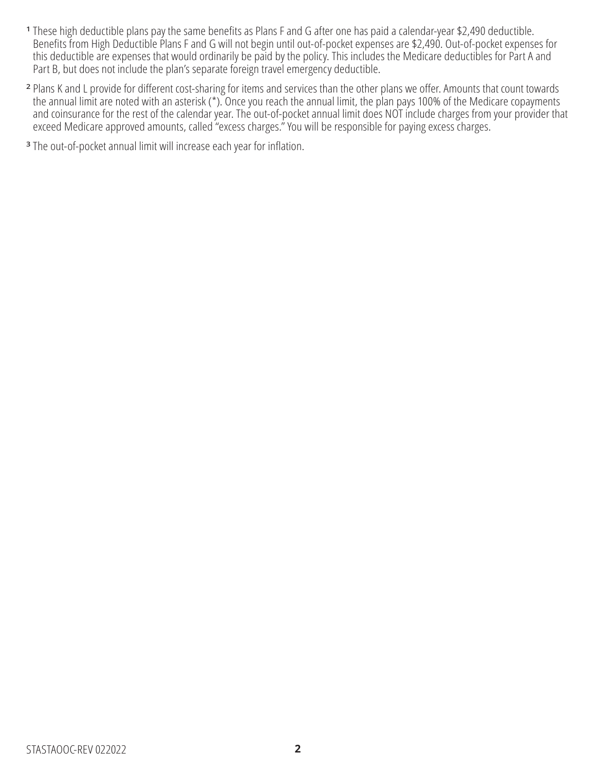- **<sup>1</sup>** These high deductible plans pay the same benefits as Plans F and G after one has paid a calendar-year \$2,490 deductible. Benefits from High Deductible Plans F and G will not begin until out-of-pocket expenses are \$2,490. Out-of-pocket expenses for this deductible are expenses that would ordinarily be paid by the policy. This includes the Medicare deductibles for Part A and Part B, but does not include the plan's separate foreign travel emergency deductible.
- **<sup>2</sup>** Plans K and L provide for different cost-sharing for items and services than the other plans we offer. Amounts that count towards the annual limit are noted with an asterisk (\*). Once you reach the annual limit, the plan pays 100% of the Medicare copayments and coinsurance for the rest of the calendar year. The out-of-pocket annual limit does NOT include charges from your provider that exceed Medicare approved amounts, called "excess charges." You will be responsible for paying excess charges.
- **<sup>3</sup>** The out-of-pocket annual limit will increase each year for inflation.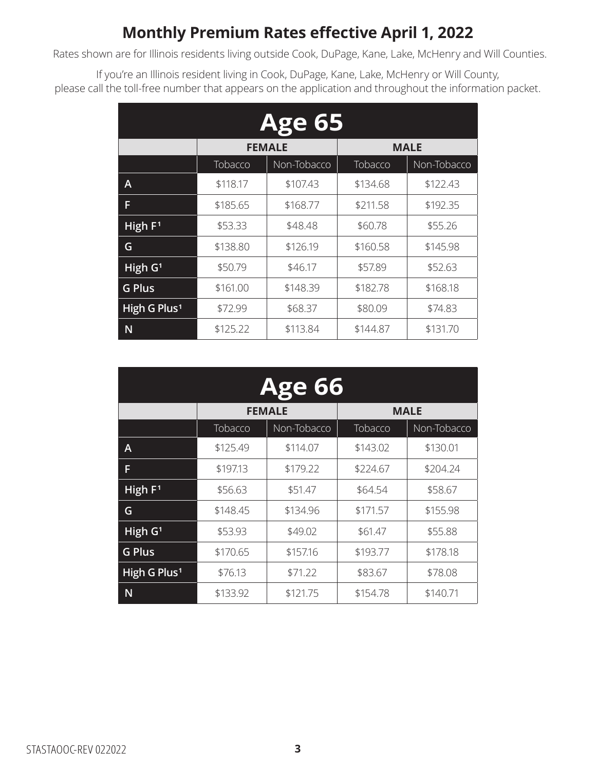### **Monthly Premium Rates effective April 1, 2022**

Rates shown are for Illinois residents living outside Cook, DuPage, Kane, Lake, McHenry and Will Counties.

If you're an Illinois resident living in Cook, DuPage, Kane, Lake, McHenry or Will County, please call the toll-free number that appears on the application and throughout the information packet.

| <b>Age 65</b>            |          |               |             |             |  |
|--------------------------|----------|---------------|-------------|-------------|--|
|                          |          | <b>FEMALE</b> | <b>MALE</b> |             |  |
|                          | Tobacco  | Non-Tobacco   | Tobacco     | Non-Tobacco |  |
| Α                        | \$118.17 | \$107.43      | \$134.68    | \$122.43    |  |
| F                        | \$185.65 | \$168.77      | \$211.58    | \$192.35    |  |
| High F <sup>1</sup>      | \$53.33  | \$48.48       | \$60.78     | \$55.26     |  |
| G                        | \$138.80 | \$126.19      | \$160.58    | \$145.98    |  |
| High G <sup>1</sup>      | \$50.79  | \$46.17       | \$57.89     | \$52.63     |  |
| <b>G Plus</b>            | \$161.00 | \$148.39      | \$182.78    | \$168.18    |  |
| High G Plus <sup>1</sup> | \$72.99  | \$68.37       | \$80.09     | \$74.83     |  |
| N                        | \$125.22 | \$113.84      | \$144.87    | \$131.70    |  |

| <b>Age 66</b>            |          |               |             |             |  |  |
|--------------------------|----------|---------------|-------------|-------------|--|--|
|                          |          | <b>FEMALE</b> | <b>MALE</b> |             |  |  |
|                          | Tobacco  | Non-Tobacco   | Tobacco     | Non-Tobacco |  |  |
| Α                        | \$125.49 | \$114.07      | \$143.02    | \$130.01    |  |  |
| F                        | \$197.13 | \$179.22      | \$224.67    | \$204.24    |  |  |
| High $F1$                | \$56.63  | \$51.47       | \$64.54     | \$58.67     |  |  |
| G                        | \$148.45 | \$134.96      | \$171.57    | \$155.98    |  |  |
| $\overline{High}$ $G1$   | \$53.93  | \$49.02       | \$61.47     | \$55.88     |  |  |
| <b>G Plus</b>            | \$170.65 | \$157.16      | \$193.77    | \$178.18    |  |  |
| High G Plus <sup>1</sup> | \$76.13  | \$71.22       | \$83.67     | \$78.08     |  |  |
| N                        | \$133.92 | \$121.75      | \$154.78    | \$140.71    |  |  |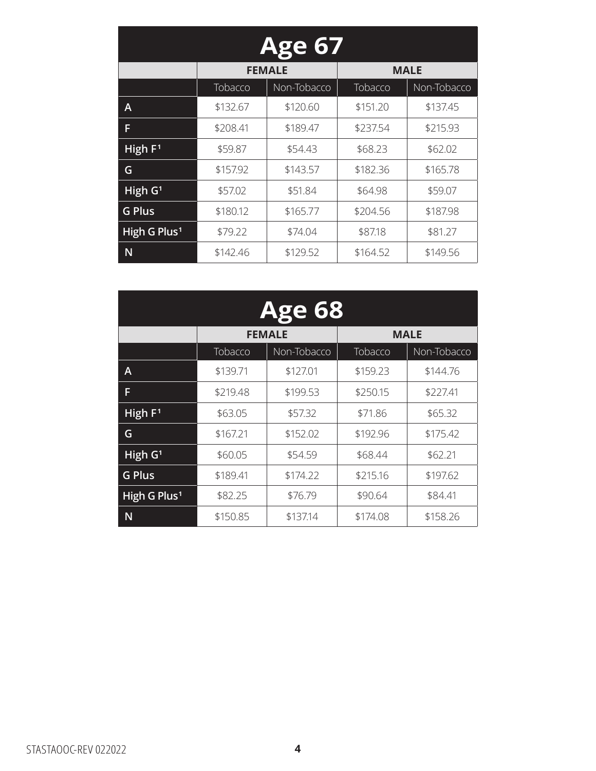| <b>Age 67</b>            |          |               |          |             |  |  |
|--------------------------|----------|---------------|----------|-------------|--|--|
|                          |          | <b>FEMALE</b> |          | <b>MALE</b> |  |  |
|                          | Tobacco  | Non-Tobacco   | Tobacco  | Non-Tobacco |  |  |
| Α                        | \$132.67 | \$120.60      | \$151.20 | \$137.45    |  |  |
| F                        | \$208.41 | \$189.47      | \$237.54 | \$215.93    |  |  |
| High $F1$                | \$59.87  | \$54.43       | \$68.23  | \$62.02     |  |  |
| G                        | \$157.92 | \$143.57      | \$182.36 | \$165.78    |  |  |
| High G <sup>1</sup>      | \$57.02  | \$51.84       | \$64.98  | \$59.07     |  |  |
| <b>G Plus</b>            | \$180.12 | \$165.77      | \$204.56 | \$187.98    |  |  |
| High G Plus <sup>1</sup> | \$79.22  | \$74.04       | \$87.18  | \$81.27     |  |  |
| N                        | \$142.46 | \$129.52      | \$164.52 | \$149.56    |  |  |

| <b>Age 68</b>            |          |               |             |             |  |
|--------------------------|----------|---------------|-------------|-------------|--|
|                          |          | <b>FEMALE</b> | <b>MALE</b> |             |  |
|                          | Tobacco  | Non-Tobacco   | Tobacco     | Non-Tobacco |  |
| A                        | \$139.71 | \$127.01      | \$159.23    | \$144.76    |  |
| F                        | \$219.48 | \$199.53      | \$250.15    | \$227.41    |  |
| High $F1$                | \$63.05  | \$57.32       | \$71.86     | \$65.32     |  |
| G                        | \$167.21 | \$152.02      | \$192.96    | \$175.42    |  |
| High G <sup>1</sup>      | \$60.05  | \$54.59       | \$68.44     | \$62.21     |  |
| <b>G Plus</b>            | \$189.41 | \$174.22      | \$215.16    | \$197.62    |  |
| High G Plus <sup>1</sup> | \$82.25  | \$76.79       | \$90.64     | \$84.41     |  |
| N                        | \$150.85 | \$137.14      | \$174.08    | \$158.26    |  |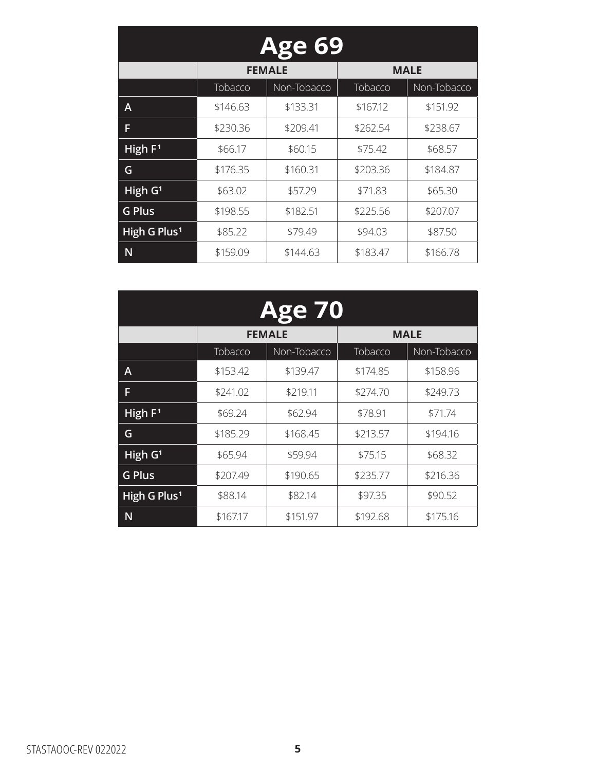| <b>Age 69</b>            |          |               |          |             |  |  |
|--------------------------|----------|---------------|----------|-------------|--|--|
|                          |          | <b>FEMALE</b> |          | <b>MALE</b> |  |  |
|                          | Tobacco  | Non-Tobacco   | Tobacco  | Non-Tobacco |  |  |
| Α                        | \$146.63 | \$133.31      | \$167.12 | \$151.92    |  |  |
| F                        | \$230.36 | \$209.41      | \$262.54 | \$238.67    |  |  |
| High $F1$                | \$66.17  | \$60.15       | \$75.42  | \$68.57     |  |  |
| G                        | \$176.35 | \$160.31      | \$203.36 | \$184.87    |  |  |
| High G <sup>1</sup>      | \$63.02  | \$57.29       | \$71.83  | \$65.30     |  |  |
| <b>G Plus</b>            | \$198.55 | \$182.51      | \$225.56 | \$207.07    |  |  |
| High G Plus <sup>1</sup> | \$85.22  | \$79.49       | \$94.03  | \$87.50     |  |  |
| N                        | \$159.09 | \$144.63      | \$183.47 | \$166.78    |  |  |

| <b>Age 70</b>            |          |               |             |             |  |
|--------------------------|----------|---------------|-------------|-------------|--|
|                          |          | <b>FEMALE</b> | <b>MALE</b> |             |  |
|                          | Tobacco  | Non-Tobacco   | Tobacco     | Non-Tobacco |  |
| A                        | \$153.42 | \$139.47      | \$174.85    | \$158.96    |  |
| F                        | \$241.02 | \$219.11      | \$274.70    | \$249.73    |  |
| High $F1$                | \$69.24  | \$62.94       | \$78.91     | \$71.74     |  |
| G                        | \$185.29 | \$168.45      | \$213.57    | \$194.16    |  |
| High G <sup>1</sup>      | \$65.94  | \$59.94       | \$75.15     | \$68.32     |  |
| <b>G Plus</b>            | \$207.49 | \$190.65      | \$235.77    | \$216.36    |  |
| High G Plus <sup>1</sup> | \$88.14  | \$82.14       | \$97.35     | \$90.52     |  |
| N                        | \$167.17 | \$151.97      | \$192.68    | \$175.16    |  |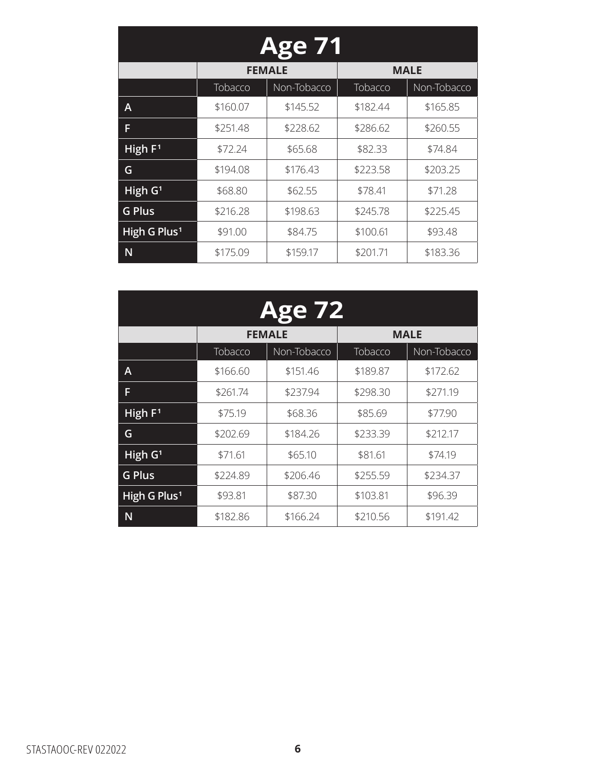| <b>Age 71</b>            |          |               |          |             |  |  |
|--------------------------|----------|---------------|----------|-------------|--|--|
|                          |          | <b>FEMALE</b> |          | <b>MALE</b> |  |  |
|                          | Tobacco  | Non-Tobacco   | Tobacco  | Non-Tobacco |  |  |
| А                        | \$160.07 | \$145.52      | \$182.44 | \$165.85    |  |  |
| F                        | \$251.48 | \$228.62      | \$286.62 | \$260.55    |  |  |
| High F <sup>1</sup>      | \$72.24  | \$65.68       | \$82.33  | \$74.84     |  |  |
| G                        | \$194.08 | \$176.43      | \$223.58 | \$203.25    |  |  |
| High G <sup>1</sup>      | \$68.80  | \$62.55       | \$78.41  | \$71.28     |  |  |
| <b>G Plus</b>            | \$216.28 | \$198.63      | \$245.78 | \$225.45    |  |  |
| High G Plus <sup>1</sup> | \$91.00  | \$84.75       | \$100.61 | \$93.48     |  |  |
| N                        | \$175.09 | \$159.17      | \$201.71 | \$183.36    |  |  |

| <b>Age 72</b>            |          |               |             |             |  |
|--------------------------|----------|---------------|-------------|-------------|--|
|                          |          | <b>FEMALE</b> | <b>MALE</b> |             |  |
|                          | Tobacco  | Non-Tobacco   | Tobacco     | Non-Tobacco |  |
| A                        | \$166.60 | \$151.46      | \$189.87    | \$172.62    |  |
| F                        | \$261.74 | \$237.94      | \$298.30    | \$271.19    |  |
| High $F1$                | \$75.19  | \$68.36       | \$85.69     | \$77.90     |  |
| G                        | \$202.69 | \$184.26      | \$233.39    | \$212.17    |  |
| High G <sup>1</sup>      | \$71.61  | \$65.10       | \$81.61     | \$74.19     |  |
| <b>G Plus</b>            | \$224.89 | \$206.46      | \$255.59    | \$234.37    |  |
| High G Plus <sup>1</sup> | \$93.81  | \$87.30       | \$103.81    | \$96.39     |  |
| N                        | \$182.86 | \$166.24      | \$210.56    | \$191.42    |  |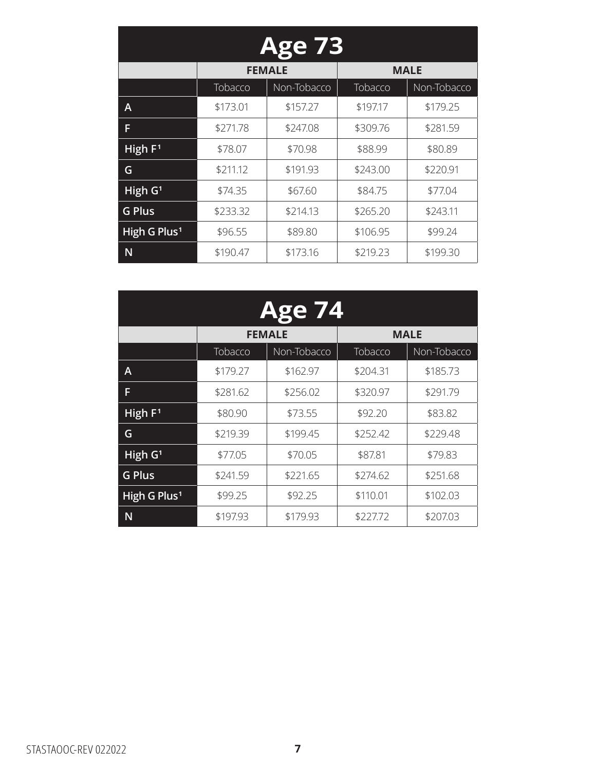| <b>Age 73</b>            |          |               |          |             |  |  |
|--------------------------|----------|---------------|----------|-------------|--|--|
|                          |          | <b>FEMALE</b> |          | <b>MALE</b> |  |  |
|                          | Tobacco  | Non-Tobacco   | Tobacco  | Non-Tobacco |  |  |
| А                        | \$173.01 | \$157.27      | \$197.17 | \$179.25    |  |  |
| F                        | \$271.78 | \$247.08      | \$309.76 | \$281.59    |  |  |
| High $F1$                | \$78.07  | \$70.98       | \$88.99  | \$80.89     |  |  |
| G                        | \$211.12 | \$191.93      | \$243.00 | \$220.91    |  |  |
| High G <sup>1</sup>      | \$74.35  | \$67.60       | \$84.75  | \$77.04     |  |  |
| <b>G Plus</b>            | \$233.32 | \$214.13      | \$265.20 | \$243.11    |  |  |
| High G Plus <sup>1</sup> | \$96.55  | \$89.80       | \$106.95 | \$99.24     |  |  |
| N                        | \$190.47 | \$173.16      | \$219.23 | \$199.30    |  |  |

| <b>Age 74</b>            |          |               |             |             |  |
|--------------------------|----------|---------------|-------------|-------------|--|
|                          |          | <b>FEMALE</b> | <b>MALE</b> |             |  |
|                          | Tobacco  | Non-Tobacco   | Tobacco     | Non-Tobacco |  |
| A                        | \$179.27 | \$162.97      | \$204.31    | \$185.73    |  |
| F                        | \$281.62 | \$256.02      | \$320.97    | \$291.79    |  |
| High $F1$                | \$80.90  | \$73.55       | \$92.20     | \$83.82     |  |
| G                        | \$219.39 | \$199.45      | \$252.42    | \$229.48    |  |
| High $G1$                | \$77.05  | \$70.05       | \$87.81     | \$79.83     |  |
| <b>G Plus</b>            | \$241.59 | \$221.65      | \$274.62    | \$251.68    |  |
| High G Plus <sup>1</sup> | \$99.25  | \$92.25       | \$110.01    | \$102.03    |  |
| N                        | \$197.93 | \$179.93      | \$227.72    | \$207.03    |  |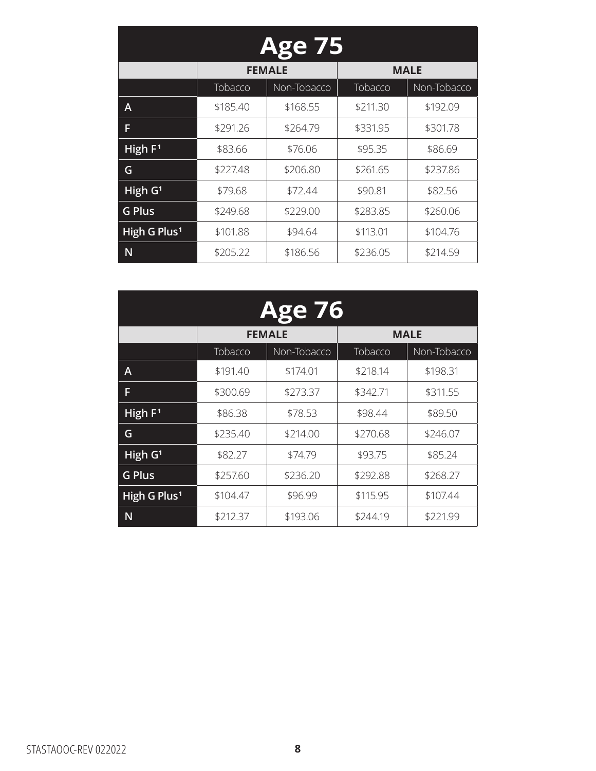| <b>Age 75</b>            |          |               |          |             |  |  |
|--------------------------|----------|---------------|----------|-------------|--|--|
|                          |          | <b>FEMALE</b> |          | <b>MALE</b> |  |  |
|                          | Tobacco  | Non-Tobacco   | Tobacco  | Non-Tobacco |  |  |
| А                        | \$185.40 | \$168.55      | \$211.30 | \$192.09    |  |  |
| F                        | \$291.26 | \$264.79      | \$331.95 | \$301.78    |  |  |
| High $F1$                | \$83.66  | \$76.06       | \$95.35  | \$86.69     |  |  |
| G                        | \$227.48 | \$206.80      | \$261.65 | \$237.86    |  |  |
| High G <sup>1</sup>      | \$79.68  | \$72.44       | \$90.81  | \$82.56     |  |  |
| <b>G Plus</b>            | \$249.68 | \$229.00      | \$283.85 | \$260.06    |  |  |
| High G Plus <sup>1</sup> | \$101.88 | \$94.64       | \$113.01 | \$104.76    |  |  |
| N                        | \$205.22 | \$186.56      | \$236.05 | \$214.59    |  |  |

| <b>Age 76</b>            |          |               |          |             |  |
|--------------------------|----------|---------------|----------|-------------|--|
|                          |          | <b>FEMALE</b> |          | <b>MALE</b> |  |
|                          | Tobacco  | Non-Tobacco   | Tobacco  | Non-Tobacco |  |
| A                        | \$191.40 | \$174.01      | \$218.14 | \$198.31    |  |
| F                        | \$300.69 | \$273.37      | \$342.71 | \$311.55    |  |
| High $F1$                | \$86.38  | \$78.53       | \$98.44  | \$89.50     |  |
| G                        | \$235.40 | \$214.00      | \$270.68 | \$246.07    |  |
| High G <sup>1</sup>      | \$82.27  | \$74.79       | \$93.75  | \$85.24     |  |
| <b>G Plus</b>            | \$257.60 | \$236.20      | \$292.88 | \$268.27    |  |
| High G Plus <sup>1</sup> | \$104.47 | \$96.99       | \$115.95 | \$107.44    |  |
| N                        | \$212.37 | \$193.06      | \$244.19 | \$221.99    |  |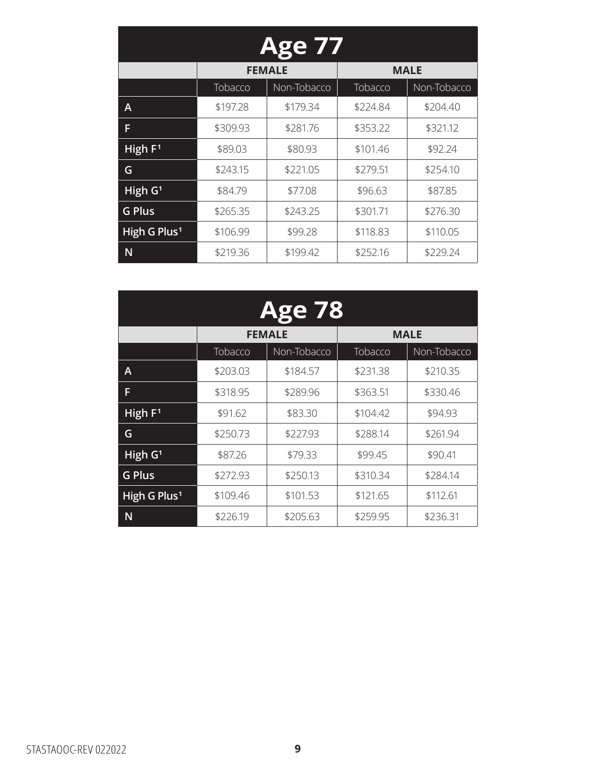| <b>Age 77</b>            |          |               |          |             |  |
|--------------------------|----------|---------------|----------|-------------|--|
|                          |          | <b>FEMALE</b> |          | <b>MALE</b> |  |
|                          | Tobacco  | Non-Tobacco   | Tobacco  | Non-Tobacco |  |
| А                        | \$197.28 | \$179.34      | \$224.84 | \$204.40    |  |
| F                        | \$309.93 | \$281.76      | \$353.22 | \$321.12    |  |
| High $F1$                | \$89.03  | \$80.93       | \$101.46 | \$92.24     |  |
| G                        | \$243.15 | \$221.05      | \$279.51 | \$254.10    |  |
| High G <sup>1</sup>      | \$84.79  | \$77.08       | \$96.63  | \$87.85     |  |
| <b>G Plus</b>            | \$265.35 | \$243.25      | \$301.71 | \$276.30    |  |
| High G Plus <sup>1</sup> | \$106.99 | \$99.28       | \$118.83 | \$110.05    |  |
| N                        | \$219.36 | \$199.42      | \$252.16 | \$229.24    |  |

| <b>Age 78</b>            |          |               |          |             |  |
|--------------------------|----------|---------------|----------|-------------|--|
|                          |          | <b>FEMALE</b> |          | <b>MALE</b> |  |
|                          | Tobacco  | Non-Tobacco   | Tobacco  | Non-Tobacco |  |
| A                        | \$203.03 | \$184.57      | \$231.38 | \$210.35    |  |
| F                        | \$318.95 | \$289.96      | \$363.51 | \$330.46    |  |
| High $F1$                | \$91.62  | \$83.30       | \$104.42 | \$94.93     |  |
| G                        | \$250.73 | \$227.93      | \$288.14 | \$261.94    |  |
| $H$ igh G <sup>1</sup>   | \$87.26  | \$79.33       | \$99.45  | \$90.41     |  |
| <b>G Plus</b>            | \$272.93 | \$250.13      | \$310.34 | \$284.14    |  |
| High G Plus <sup>1</sup> | \$109.46 | \$101.53      | \$121.65 | \$112.61    |  |
| N                        | \$226.19 | \$205.63      | \$259.95 | \$236.31    |  |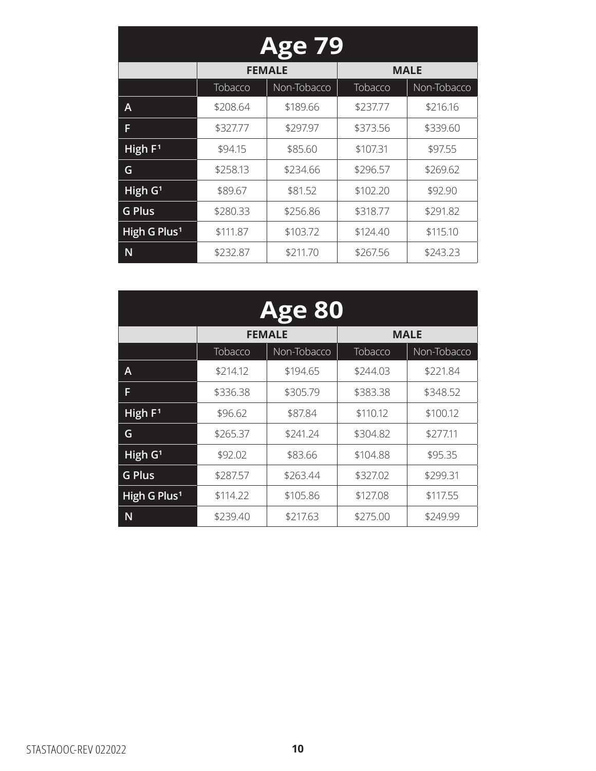| <b>Age 79</b>            |          |               |          |             |  |
|--------------------------|----------|---------------|----------|-------------|--|
|                          |          | <b>FEMALE</b> |          | <b>MALE</b> |  |
|                          | Tobacco  | Non-Tobacco   | Tobacco  | Non-Tobacco |  |
| А                        | \$208.64 | \$189.66      | \$237.77 | \$216.16    |  |
| F                        | \$327.77 | \$297.97      | \$373.56 | \$339.60    |  |
| High F <sup>1</sup>      | \$94.15  | \$85.60       | \$107.31 | \$97.55     |  |
| G                        | \$258.13 | \$234.66      | \$296.57 | \$269.62    |  |
| High G <sup>1</sup>      | \$89.67  | \$81.52       | \$102.20 | \$92.90     |  |
| <b>G Plus</b>            | \$280.33 | \$256.86      | \$318.77 | \$291.82    |  |
| High G Plus <sup>1</sup> | \$111.87 | \$103.72      | \$124.40 | \$115.10    |  |
| N                        | \$232.87 | \$211.70      | \$267.56 | \$243.23    |  |

| <b>Age 80</b>            |          |               |          |             |  |
|--------------------------|----------|---------------|----------|-------------|--|
|                          |          | <b>FEMALE</b> |          | <b>MALE</b> |  |
|                          | Tobacco  | Non-Tobacco   | Tobacco  | Non-Tobacco |  |
| A                        | \$214.12 | \$194.65      | \$244.03 | \$221.84    |  |
| F                        | \$336.38 | \$305.79      | \$383.38 | \$348.52    |  |
| High $F1$                | \$96.62  | \$87.84       | \$110.12 | \$100.12    |  |
| G                        | \$265.37 | \$241.24      | \$304.82 | \$277.11    |  |
| $H$ igh G <sup>1</sup>   | \$92.02  | \$83.66       | \$104.88 | \$95.35     |  |
| <b>G Plus</b>            | \$287.57 | \$263.44      | \$327.02 | \$299.31    |  |
| High G Plus <sup>1</sup> | \$114.22 | \$105.86      | \$127.08 | \$117.55    |  |
| N                        | \$239.40 | \$217.63      | \$275.00 | \$249.99    |  |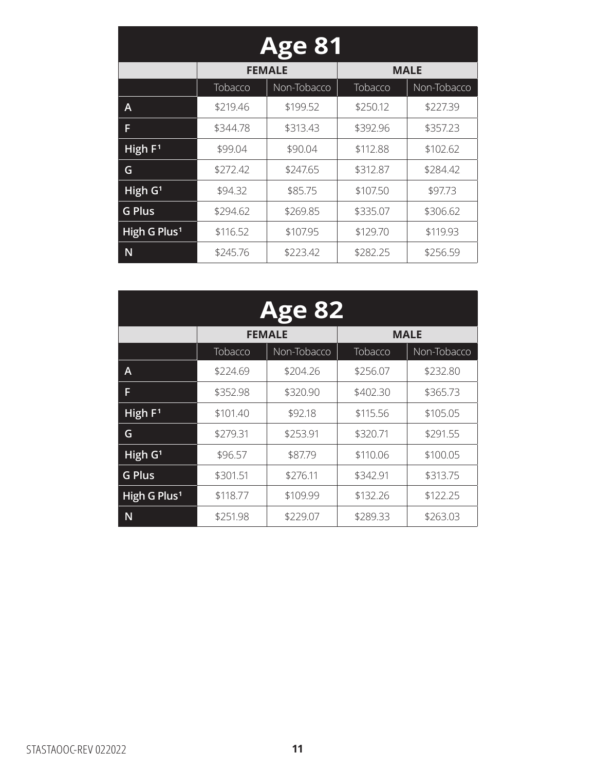| <b>Age 81</b>            |          |               |          |             |  |
|--------------------------|----------|---------------|----------|-------------|--|
|                          |          | <b>FEMALE</b> |          | <b>MALE</b> |  |
|                          | Tobacco  | Non-Tobacco   | Tobacco  | Non-Tobacco |  |
| А                        | \$219.46 | \$199.52      | \$250.12 | \$227.39    |  |
| F                        | \$344.78 | \$313.43      | \$392.96 | \$357.23    |  |
| High $F1$                | \$99.04  | \$90.04       | \$112.88 | \$102.62    |  |
| G                        | \$272.42 | \$247.65      | \$312.87 | \$284.42    |  |
| High G <sup>1</sup>      | \$94.32  | \$85.75       | \$107.50 | \$97.73     |  |
| <b>G Plus</b>            | \$294.62 | \$269.85      | \$335.07 | \$306.62    |  |
| High G Plus <sup>1</sup> | \$116.52 | \$107.95      | \$129.70 | \$119.93    |  |
| N                        | \$245.76 | \$223.42      | \$282.25 | \$256.59    |  |

| <b>Age 82</b>            |          |               |          |             |  |
|--------------------------|----------|---------------|----------|-------------|--|
|                          |          | <b>FEMALE</b> |          | <b>MALE</b> |  |
|                          | Tobacco  | Non-Tobacco   | Tobacco  | Non-Tobacco |  |
| A                        | \$224.69 | \$204.26      | \$256.07 | \$232.80    |  |
| F                        | \$352.98 | \$320.90      | \$402.30 | \$365.73    |  |
| High $F1$                | \$101.40 | \$92.18       | \$115.56 | \$105.05    |  |
| G                        | \$279.31 | \$253.91      | \$320.71 | \$291.55    |  |
| High G <sup>1</sup>      | \$96.57  | \$87.79       | \$110.06 | \$100.05    |  |
| <b>G Plus</b>            | \$301.51 | \$276.11      | \$342.91 | \$313.75    |  |
| High G Plus <sup>1</sup> | \$118.77 | \$109.99      | \$132.26 | \$122.25    |  |
| N                        | \$251.98 | \$229.07      | \$289.33 | \$263.03    |  |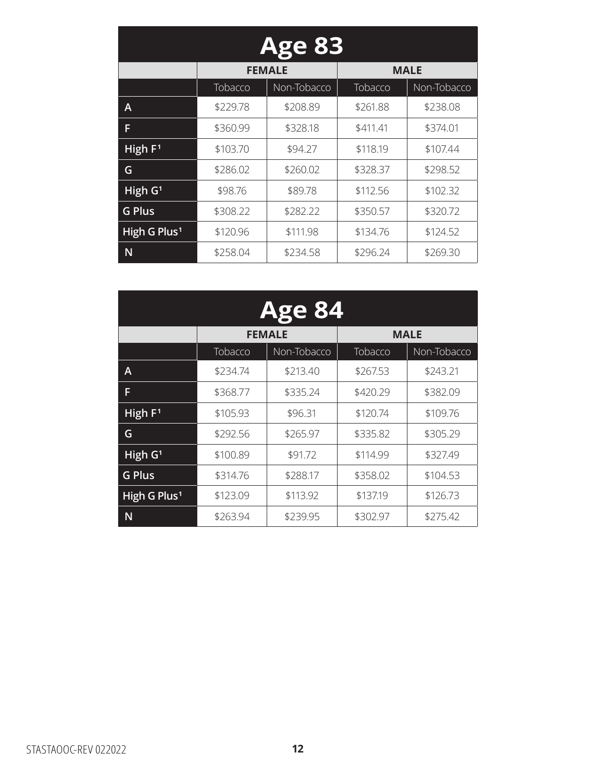| <b>Age 83</b>            |          |               |          |             |  |
|--------------------------|----------|---------------|----------|-------------|--|
|                          |          | <b>FEMALE</b> |          | <b>MALE</b> |  |
|                          | Tobacco  | Non-Tobacco   | Tobacco  | Non-Tobacco |  |
| Α                        | \$229.78 | \$208.89      | \$261.88 | \$238.08    |  |
| F                        | \$360.99 | \$328.18      | \$411.41 | \$374.01    |  |
| High $F1$                | \$103.70 | \$94.27       | \$118.19 | \$107.44    |  |
| G                        | \$286.02 | \$260.02      | \$328.37 | \$298.52    |  |
| High G <sup>1</sup>      | \$98.76  | \$89.78       | \$112.56 | \$102.32    |  |
| <b>G Plus</b>            | \$308.22 | \$282.22      | \$350.57 | \$320.72    |  |
| High G Plus <sup>1</sup> | \$120.96 | \$111.98      | \$134.76 | \$124.52    |  |
| N                        | \$258.04 | \$234.58      | \$296.24 | \$269.30    |  |

| <b>Age 84</b>            |          |               |          |             |  |
|--------------------------|----------|---------------|----------|-------------|--|
|                          |          | <b>FEMALE</b> |          | <b>MALE</b> |  |
|                          | Tobacco  | Non-Tobacco   | Tobacco  | Non-Tobacco |  |
| Α                        | \$234.74 | \$213.40      | \$267.53 | \$243.21    |  |
| F                        | \$368.77 | \$335.24      | \$420.29 | \$382.09    |  |
| High $F1$                | \$105.93 | \$96.31       | \$120.74 | \$109.76    |  |
| G                        | \$292.56 | \$265.97      | \$335.82 | \$305.29    |  |
| High G <sup>1</sup>      | \$100.89 | \$91.72       | \$114.99 | \$327.49    |  |
| <b>G Plus</b>            | \$314.76 | \$288.17      | \$358.02 | \$104.53    |  |
| High G Plus <sup>1</sup> | \$123.09 | \$113.92      | \$137.19 | \$126.73    |  |
| N                        | \$263.94 | \$239.95      | \$302.97 | \$275.42    |  |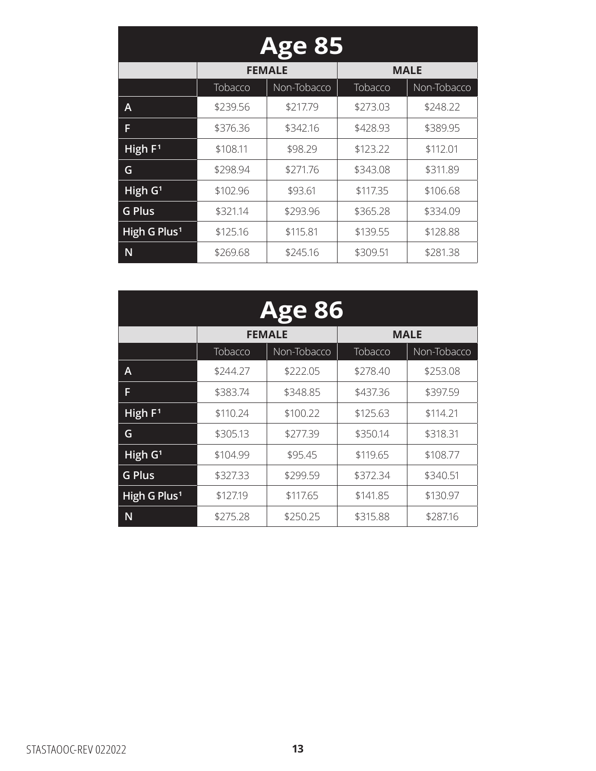| <b>Age 85</b>            |                |               |          |             |  |
|--------------------------|----------------|---------------|----------|-------------|--|
|                          |                | <b>FEMALE</b> |          | <b>MALE</b> |  |
|                          | <b>Tobacco</b> | Non-Tobacco   | Tobacco  | Non-Tobacco |  |
| Α                        | \$239.56       | \$217.79      | \$273.03 | \$248.22    |  |
| F                        | \$376.36       | \$342.16      | \$428.93 | \$389.95    |  |
| High $F1$                | \$108.11       | \$98.29       | \$123.22 | \$112.01    |  |
| G                        | \$298.94       | \$271.76      | \$343.08 | \$311.89    |  |
| High G <sup>1</sup>      | \$102.96       | \$93.61       | \$117.35 | \$106.68    |  |
| <b>G Plus</b>            | \$321.14       | \$293.96      | \$365.28 | \$334.09    |  |
| High G Plus <sup>1</sup> | \$125.16       | \$115.81      | \$139.55 | \$128.88    |  |
| N                        | \$269.68       | \$245.16      | \$309.51 | \$281.38    |  |

| <b>Age 86</b>                     |          |               |          |             |  |
|-----------------------------------|----------|---------------|----------|-------------|--|
|                                   |          | <b>FEMALE</b> |          | <b>MALE</b> |  |
|                                   | Tobacco  | Non-Tobacco   | Tobacco  | Non-Tobacco |  |
| A                                 | \$244.27 | \$222.05      | \$278.40 | \$253.08    |  |
| F                                 | \$383.74 | \$348.85      | \$437.36 | \$397.59    |  |
| High $F1$                         | \$110.24 | \$100.22      | \$125.63 | \$114.21    |  |
| G                                 | \$305.13 | \$277.39      | \$350.14 | \$318.31    |  |
| $\overline{H}$ igh G <sup>1</sup> | \$104.99 | \$95.45       | \$119.65 | \$108.77    |  |
| <b>G Plus</b>                     | \$327.33 | \$299.59      | \$372.34 | \$340.51    |  |
| High G Plus <sup>1</sup>          | \$127.19 | \$117.65      | \$141.85 | \$130.97    |  |
| N                                 | \$275.28 | \$250.25      | \$315.88 | \$287.16    |  |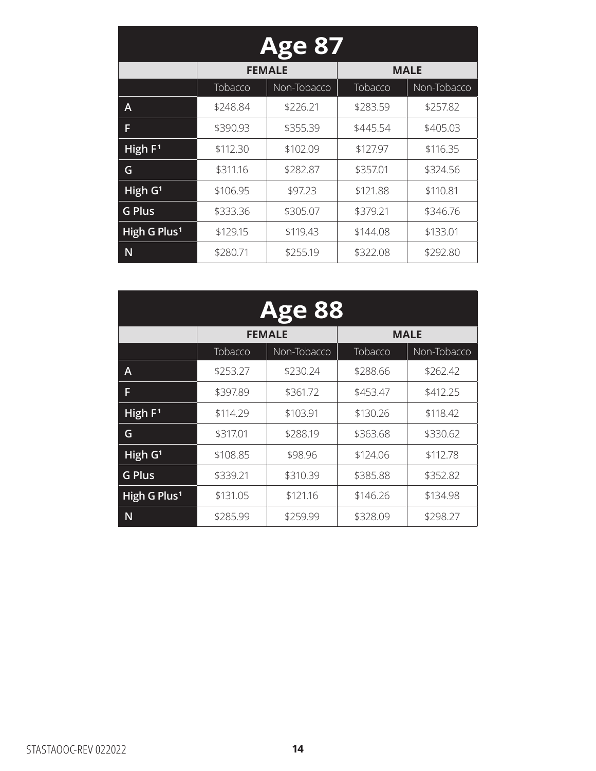| <b>Age 87</b>            |          |               |          |             |  |
|--------------------------|----------|---------------|----------|-------------|--|
|                          |          | <b>FEMALE</b> |          | <b>MALE</b> |  |
|                          | Tobacco  | Non-Tobacco   | Tobacco  | Non-Tobacco |  |
| А                        | \$248.84 | \$226.21      | \$283.59 | \$257.82    |  |
| F                        | \$390.93 | \$355.39      | \$445.54 | \$405.03    |  |
| High $F1$                | \$112.30 | \$102.09      | \$127.97 | \$116.35    |  |
| G                        | \$311.16 | \$282.87      | \$357.01 | \$324.56    |  |
| High G <sup>1</sup>      | \$106.95 | \$97.23       | \$121.88 | \$110.81    |  |
| <b>G Plus</b>            | \$333.36 | \$305.07      | \$379.21 | \$346.76    |  |
| High G Plus <sup>1</sup> | \$129.15 | \$119.43      | \$144.08 | \$133.01    |  |
| N                        | \$280.71 | \$255.19      | \$322.08 | \$292.80    |  |

| <b>Age 88</b>            |          |               |          |             |  |
|--------------------------|----------|---------------|----------|-------------|--|
|                          |          | <b>FEMALE</b> |          | <b>MALE</b> |  |
|                          | Tobacco  | Non-Tobacco   | Tobacco  | Non-Tobacco |  |
| A                        | \$253.27 | \$230.24      | \$288.66 | \$262.42    |  |
| F                        | \$397.89 | \$361.72      | \$453.47 | \$412.25    |  |
| High $F1$                | \$114.29 | \$103.91      | \$130.26 | \$118.42    |  |
| G                        | \$317.01 | \$288.19      | \$363.68 | \$330.62    |  |
| High G <sup>1</sup>      | \$108.85 | \$98.96       | \$124.06 | \$112.78    |  |
| <b>G Plus</b>            | \$339.21 | \$310.39      | \$385.88 | \$352.82    |  |
| High G Plus <sup>1</sup> | \$131.05 | \$121.16      | \$146.26 | \$134.98    |  |
| N                        | \$285.99 | \$259.99      | \$328.09 | \$298.27    |  |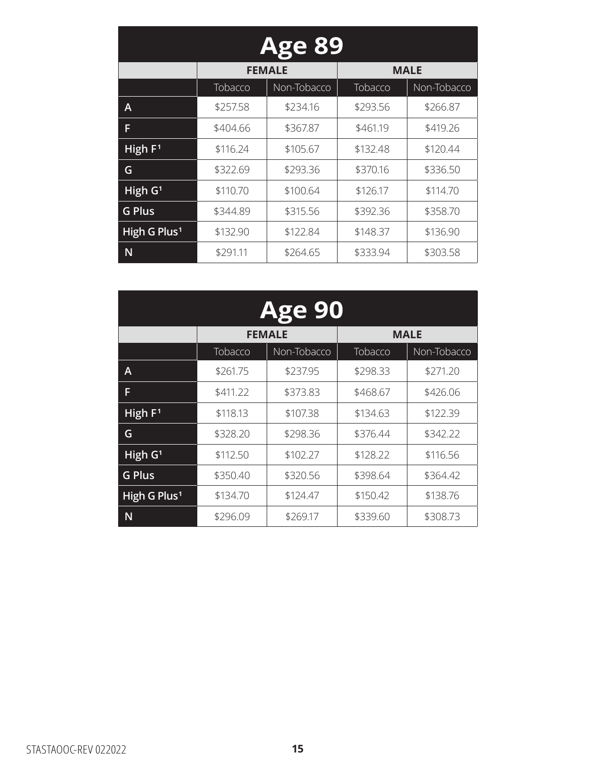| <b>Age 89</b>            |          |               |          |             |  |
|--------------------------|----------|---------------|----------|-------------|--|
|                          |          | <b>FEMALE</b> |          | <b>MALE</b> |  |
|                          | Tobacco  | Non-Tobacco   | Tobacco  | Non-Tobacco |  |
| А                        | \$257.58 | \$234.16      | \$293.56 | \$266.87    |  |
| F                        | \$404.66 | \$367.87      | \$461.19 | \$419.26    |  |
| High $F1$                | \$116.24 | \$105.67      | \$132.48 | \$120.44    |  |
| G                        | \$322.69 | \$293.36      | \$370.16 | \$336.50    |  |
| High G <sup>1</sup>      | \$110.70 | \$100.64      | \$126.17 | \$114.70    |  |
| <b>G Plus</b>            | \$344.89 | \$315.56      | \$392.36 | \$358.70    |  |
| High G Plus <sup>1</sup> | \$132.90 | \$122.84      | \$148.37 | \$136.90    |  |
| N                        | \$291.11 | \$264.65      | \$333.94 | \$303.58    |  |

| <b>Age 90</b>            |          |               |          |             |  |
|--------------------------|----------|---------------|----------|-------------|--|
|                          |          | <b>FEMALE</b> |          | <b>MALE</b> |  |
|                          | Tobacco  | Non-Tobacco   | Tobacco  | Non-Tobacco |  |
| A                        | \$261.75 | \$237.95      | \$298.33 | \$271.20    |  |
| F                        | \$411.22 | \$373.83      | \$468.67 | \$426.06    |  |
| High $F1$                | \$118.13 | \$107.38      | \$134.63 | \$122.39    |  |
| G                        | \$328.20 | \$298.36      | \$376.44 | \$342.22    |  |
| High G <sup>1</sup>      | \$112.50 | \$102.27      | \$128.22 | \$116.56    |  |
| <b>G Plus</b>            | \$350.40 | \$320.56      | \$398.64 | \$364.42    |  |
| High G Plus <sup>1</sup> | \$134.70 | \$124.47      | \$150.42 | \$138.76    |  |
| N                        | \$296.09 | \$269.17      | \$339.60 | \$308.73    |  |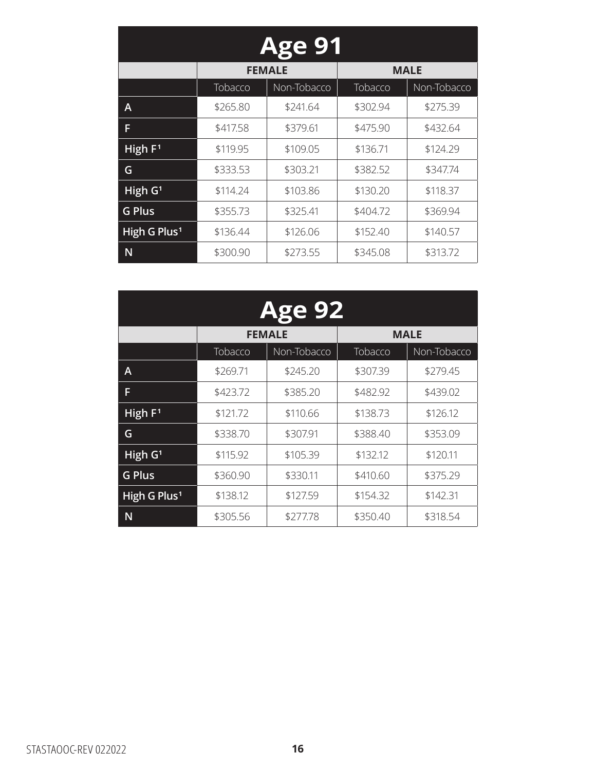| <b>Age 91</b>            |          |               |          |             |  |
|--------------------------|----------|---------------|----------|-------------|--|
|                          |          | <b>FEMALE</b> |          | <b>MALE</b> |  |
|                          | Tobacco  | Non-Tobacco   | Tobacco  | Non-Tobacco |  |
| А                        | \$265.80 | \$241.64      | \$302.94 | \$275.39    |  |
| F                        | \$417.58 | \$379.61      | \$475.90 | \$432.64    |  |
| High $F1$                | \$119.95 | \$109.05      | \$136.71 | \$124.29    |  |
| G                        | \$333.53 | \$303.21      | \$382.52 | \$347.74    |  |
| High G <sup>1</sup>      | \$114.24 | \$103.86      | \$130.20 | \$118.37    |  |
| <b>G Plus</b>            | \$355.73 | \$325.41      | \$404.72 | \$369.94    |  |
| High G Plus <sup>1</sup> | \$136.44 | \$126.06      | \$152.40 | \$140.57    |  |
| N                        | \$300.90 | \$273.55      | \$345.08 | \$313.72    |  |

| <b>Age 92</b>            |          |               |          |             |  |
|--------------------------|----------|---------------|----------|-------------|--|
|                          |          | <b>FEMALE</b> |          | <b>MALE</b> |  |
|                          | Tobacco  | Non-Tobacco   | Tobacco  | Non-Tobacco |  |
| Α                        | \$269.71 | \$245.20      | \$307.39 | \$279.45    |  |
| F                        | \$423.72 | \$385.20      | \$482.92 | \$439.02    |  |
| High $F1$                | \$121.72 | \$110.66      | \$138.73 | \$126.12    |  |
| G                        | \$338.70 | \$307.91      | \$388.40 | \$353.09    |  |
| High G <sup>1</sup>      | \$115.92 | \$105.39      | \$132.12 | \$120.11    |  |
| <b>G Plus</b>            | \$360.90 | \$330.11      | \$410.60 | \$375.29    |  |
| High G Plus <sup>1</sup> | \$138.12 | \$127.59      | \$154.32 | \$142.31    |  |
| N                        | \$305.56 | \$277.78      | \$350.40 | \$318.54    |  |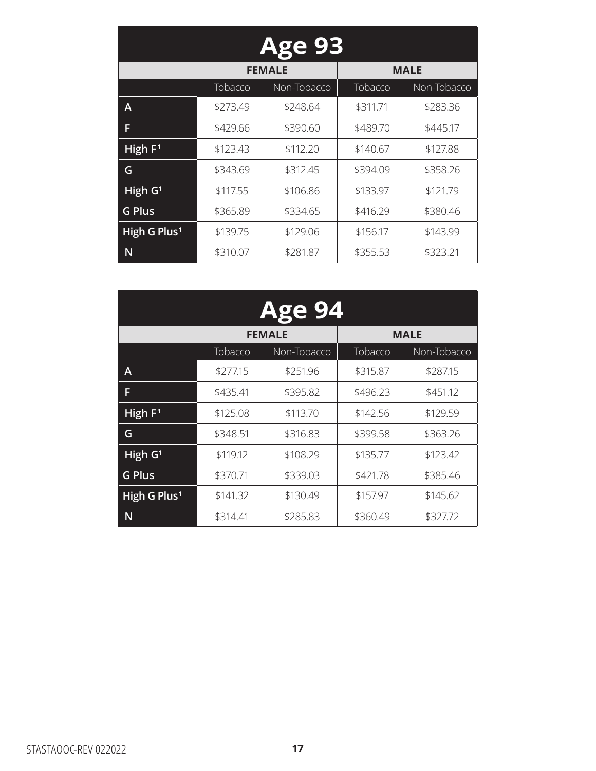| <b>Age 93</b>            |          |               |          |             |  |
|--------------------------|----------|---------------|----------|-------------|--|
|                          |          | <b>FEMALE</b> |          | <b>MALE</b> |  |
|                          | Tobacco  | Non-Tobacco   | Tobacco  | Non-Tobacco |  |
| Α                        | \$273.49 | \$248.64      | \$311.71 | \$283.36    |  |
| F                        | \$429.66 | \$390.60      | \$489.70 | \$445.17    |  |
| High $F1$                | \$123.43 | \$112.20      | \$140.67 | \$127.88    |  |
| G                        | \$343.69 | \$312.45      | \$394.09 | \$358.26    |  |
| High G <sup>1</sup>      | \$117.55 | \$106.86      | \$133.97 | \$121.79    |  |
| <b>G Plus</b>            | \$365.89 | \$334.65      | \$416.29 | \$380.46    |  |
| High G Plus <sup>1</sup> | \$139.75 | \$129.06      | \$156.17 | \$143.99    |  |
| N                        | \$310.07 | \$281.87      | \$355.53 | \$323.21    |  |

| <b>Age 94</b>            |          |               |          |             |  |
|--------------------------|----------|---------------|----------|-------------|--|
|                          |          | <b>FEMALE</b> |          | <b>MALE</b> |  |
|                          | Tobacco  | Non-Tobacco   | Tobacco  | Non-Tobacco |  |
| Α                        | \$277.15 | \$251.96      | \$315.87 | \$287.15    |  |
| F                        | \$435.41 | \$395.82      | \$496.23 | \$451.12    |  |
| High $F1$                | \$125.08 | \$113.70      | \$142.56 | \$129.59    |  |
| G                        | \$348.51 | \$316.83      | \$399.58 | \$363.26    |  |
| High G <sup>1</sup>      | \$119.12 | \$108.29      | \$135.77 | \$123.42    |  |
| <b>G Plus</b>            | \$370.71 | \$339.03      | \$421.78 | \$385.46    |  |
| High G Plus <sup>1</sup> | \$141.32 | \$130.49      | \$157.97 | \$145.62    |  |
| N                        | \$314.41 | \$285.83      | \$360.49 | \$327.72    |  |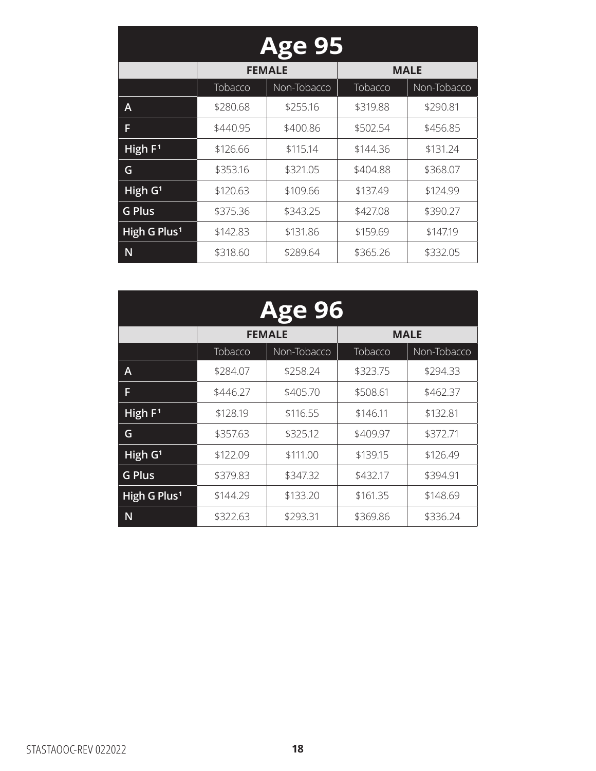| <b>Age 95</b>            |          |               |          |             |  |
|--------------------------|----------|---------------|----------|-------------|--|
|                          |          | <b>FEMALE</b> |          | <b>MALE</b> |  |
|                          | Tobacco  | Non-Tobacco   | Tobacco  | Non-Tobacco |  |
| А                        | \$280.68 | \$255.16      | \$319.88 | \$290.81    |  |
| F                        | \$440.95 | \$400.86      | \$502.54 | \$456.85    |  |
| High $F1$                | \$126.66 | \$115.14      | \$144.36 | \$131.24    |  |
| G                        | \$353.16 | \$321.05      | \$404.88 | \$368.07    |  |
| High G <sup>1</sup>      | \$120.63 | \$109.66      | \$137.49 | \$124.99    |  |
| <b>G Plus</b>            | \$375.36 | \$343.25      | \$427.08 | \$390.27    |  |
| High G Plus <sup>1</sup> | \$142.83 | \$131.86      | \$159.69 | \$147.19    |  |
| N                        | \$318.60 | \$289.64      | \$365.26 | \$332.05    |  |

| <b>Age 96</b>            |          |               |          |             |  |
|--------------------------|----------|---------------|----------|-------------|--|
|                          |          | <b>FEMALE</b> |          | <b>MALE</b> |  |
|                          | Tobacco  | Non-Tobacco   | Tobacco  | Non-Tobacco |  |
| A                        | \$284.07 | \$258.24      | \$323.75 | \$294.33    |  |
| F                        | \$446.27 | \$405.70      | \$508.61 | \$462.37    |  |
| High $F1$                | \$128.19 | \$116.55      | \$146.11 | \$132.81    |  |
| G                        | \$357.63 | \$325.12      | \$409.97 | \$372.71    |  |
| High G <sup>1</sup>      | \$122.09 | \$111.00      | \$139.15 | \$126.49    |  |
| <b>G Plus</b>            | \$379.83 | \$347.32      | \$432.17 | \$394.91    |  |
| High G Plus <sup>1</sup> | \$144.29 | \$133.20      | \$161.35 | \$148.69    |  |
| N                        | \$322.63 | \$293.31      | \$369.86 | \$336.24    |  |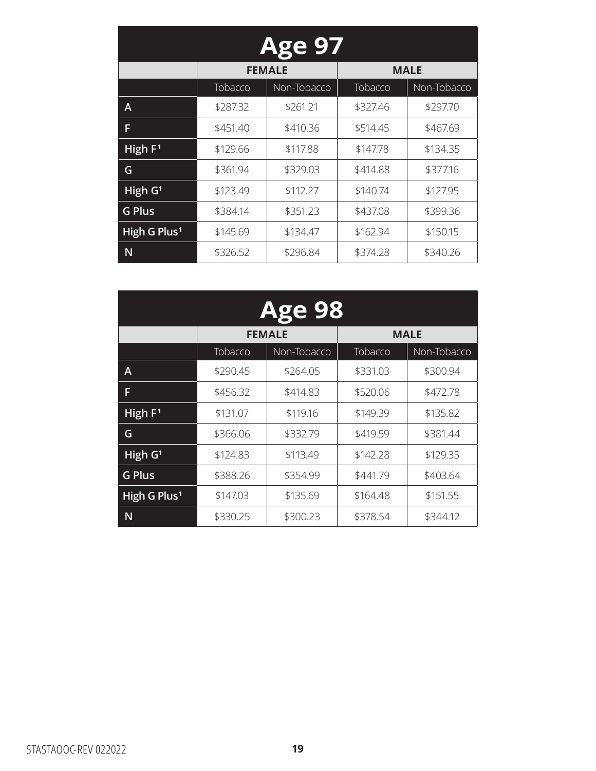| <b>Age 97</b>            |          |               |          |             |  |
|--------------------------|----------|---------------|----------|-------------|--|
|                          |          | <b>FEMALE</b> |          | <b>MALE</b> |  |
|                          | Tobacco  | Non-Tobacco   | Tobacco  | Non-Tobacco |  |
| А                        | \$287.32 | \$261.21      | \$327.46 | \$297.70    |  |
| F                        | \$451.40 | \$410.36      | \$514.45 | \$467.69    |  |
| High $F1$                | \$129.66 | \$117.88      | \$147.78 | \$134.35    |  |
| G                        | \$361.94 | \$329.03      | \$414.88 | \$377.16    |  |
| High G <sup>1</sup>      | \$123.49 | \$112.27      | \$140.74 | \$127.95    |  |
| <b>G Plus</b>            | \$384.14 | \$351.23      | \$437.08 | \$399.36    |  |
| High G Plus <sup>1</sup> | \$145.69 | \$134.47      | \$162.94 | \$150.15    |  |
| N                        | \$326.52 | \$296.84      | \$374.28 | \$340.26    |  |

| <b>Age 98</b>            |          |               |          |             |  |
|--------------------------|----------|---------------|----------|-------------|--|
|                          |          | <b>FEMALE</b> |          | <b>MALE</b> |  |
|                          | Tobacco  | Non-Tobacco   | Tobacco  | Non-Tobacco |  |
| Α                        | \$290.45 | \$264.05      | \$331.03 | \$300.94    |  |
| F                        | \$456.32 | \$414.83      | \$520.06 | \$472.78    |  |
| High $F1$                | \$131.07 | \$119.16      | \$149.39 | \$135.82    |  |
| G                        | \$366.06 | \$332.79      | \$419.59 | \$381.44    |  |
| High G <sup>1</sup>      | \$124.83 | \$113.49      | \$142.28 | \$129.35    |  |
| <b>G Plus</b>            | \$388.26 | \$354.99      | \$441.79 | \$403.64    |  |
| High G Plus <sup>1</sup> | \$147.03 | \$135.69      | \$164.48 | \$151.55    |  |
| N                        | \$330.25 | \$300.23      | \$378.54 | \$344.12    |  |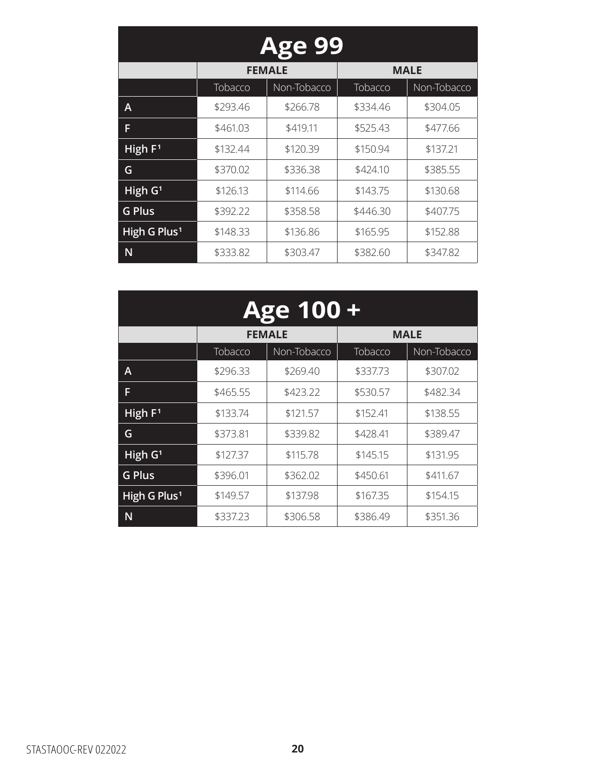| <b>Age 99</b>            |          |               |          |             |
|--------------------------|----------|---------------|----------|-------------|
|                          |          | <b>FEMALE</b> |          | <b>MALE</b> |
|                          | Tobacco  | Non-Tobacco   | Tobacco  | Non-Tobacco |
| Α                        | \$293.46 | \$266.78      | \$334.46 | \$304.05    |
| F                        | \$461.03 | \$419.11      | \$525.43 | \$477.66    |
| High $F1$                | \$132.44 | \$120.39      | \$150.94 | \$137.21    |
| G                        | \$370.02 | \$336.38      | \$424.10 | \$385.55    |
| High G <sup>1</sup>      | \$126.13 | \$114.66      | \$143.75 | \$130.68    |
| <b>G Plus</b>            | \$392.22 | \$358.58      | \$446.30 | \$407.75    |
| High G Plus <sup>1</sup> | \$148.33 | \$136.86      | \$165.95 | \$152.88    |
| N                        | \$333.82 | \$303.47      | \$382.60 | \$347.82    |

| <b>Age 100+</b>          |          |               |          |             |
|--------------------------|----------|---------------|----------|-------------|
|                          |          | <b>FEMALE</b> |          | <b>MALE</b> |
|                          | Tobacco  | Non-Tobacco   | Tobacco  | Non-Tobacco |
| A                        | \$296.33 | \$269.40      | \$337.73 | \$307.02    |
| F                        | \$465.55 | \$423.22      | \$530.57 | \$482.34    |
| High F <sup>1</sup>      | \$133.74 | \$121.57      | \$152.41 | \$138.55    |
| G                        | \$373.81 | \$339.82      | \$428.41 | \$389.47    |
| $\overline{High}$ $G1$   | \$127.37 | \$115.78      | \$145.15 | \$131.95    |
| <b>G Plus</b>            | \$396.01 | \$362.02      | \$450.61 | \$411.67    |
| High G Plus <sup>1</sup> | \$149.57 | \$137.98      | \$167.35 | \$154.15    |
| N                        | \$337.23 | \$306.58      | \$386.49 | \$351.36    |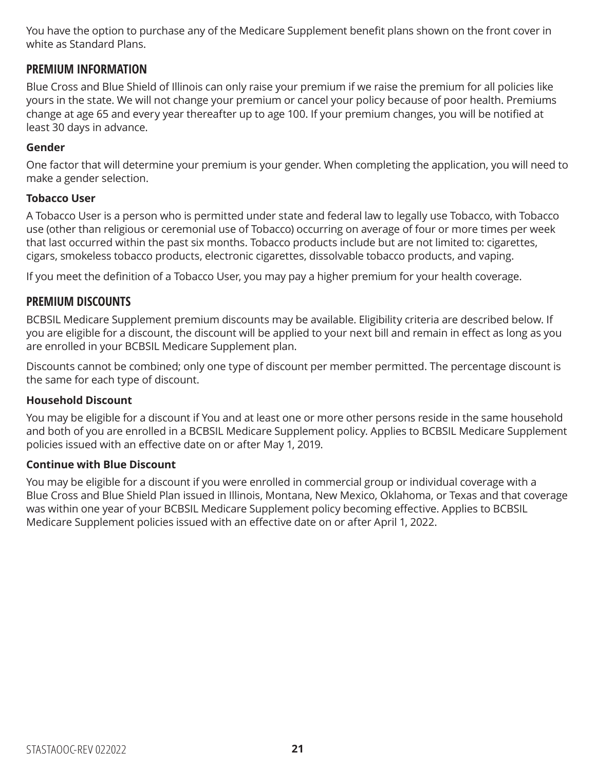You have the option to purchase any of the Medicare Supplement benefit plans shown on the front cover in white as Standard Plans.

#### **PREMIUM INFORMATION**

Blue Cross and Blue Shield of Illinois can only raise your premium if we raise the premium for all policies like yours in the state. We will not change your premium or cancel your policy because of poor health. Premiums change at age 65 and every year thereafter up to age 100. If your premium changes, you will be notified at least 30 days in advance.

#### **Gender**

One factor that will determine your premium is your gender. When completing the application, you will need to make a gender selection.

#### **Tobacco User**

A Tobacco User is a person who is permitted under state and federal law to legally use Tobacco, with Tobacco use (other than religious or ceremonial use of Tobacco) occurring on average of four or more times per week that last occurred within the past six months. Tobacco products include but are not limited to: cigarettes, cigars, smokeless tobacco products, electronic cigarettes, dissolvable tobacco products, and vaping.

If you meet the definition of a Tobacco User, you may pay a higher premium for your health coverage.

#### **PREMIUM DISCOUNTS**

BCBSIL Medicare Supplement premium discounts may be available. Eligibility criteria are described below. If you are eligible for a discount, the discount will be applied to your next bill and remain in effect as long as you are enrolled in your BCBSIL Medicare Supplement plan.

Discounts cannot be combined; only one type of discount per member permitted. The percentage discount is the same for each type of discount.

#### **Household Discount**

You may be eligible for a discount if You and at least one or more other persons reside in the same household and both of you are enrolled in a BCBSIL Medicare Supplement policy. Applies to BCBSIL Medicare Supplement policies issued with an effective date on or after May 1, 2019.

#### **Continue with Blue Discount**

You may be eligible for a discount if you were enrolled in commercial group or individual coverage with a Blue Cross and Blue Shield Plan issued in Illinois, Montana, New Mexico, Oklahoma, or Texas and that coverage was within one year of your BCBSIL Medicare Supplement policy becoming effective. Applies to BCBSIL Medicare Supplement policies issued with an effective date on or after April 1, 2022.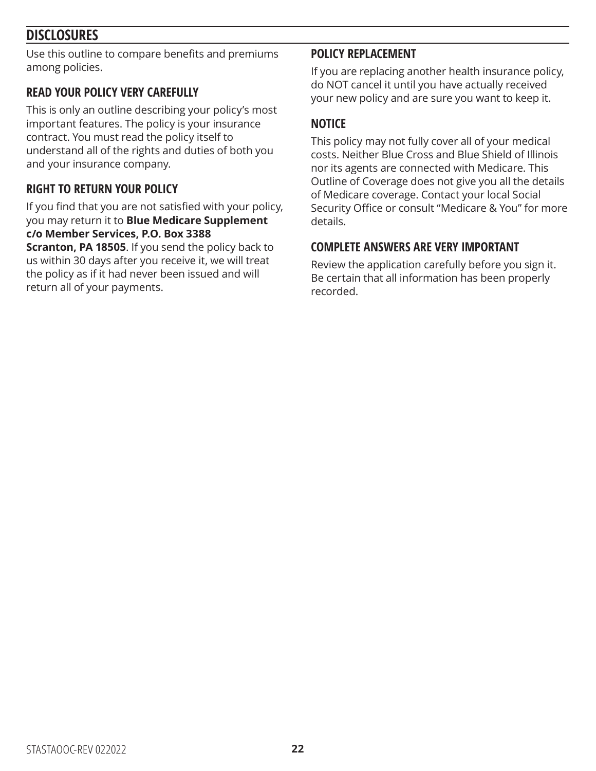### **DISCLOSURES**

Use this outline to compare benefits and premiums among policies.

### **READ YOUR POLICY VERY CAREFULLY**

This is only an outline describing your policy's most important features. The policy is your insurance contract. You must read the policy itself to understand all of the rights and duties of both you and your insurance company.

### **RIGHT TO RETURN YOUR POLICY**

If you find that you are not satisfied with your policy, you may return it to **Blue Medicare Supplement c/o Member Services, P.O. Box 3388** 

**Scranton, PA 18505**. If you send the policy back to us within 30 days after you receive it, we will treat the policy as if it had never been issued and will return all of your payments.

#### **POLICY REPLACEMENT**

If you are replacing another health insurance policy, do NOT cancel it until you have actually received your new policy and are sure you want to keep it.

#### **NOTICE**

This policy may not fully cover all of your medical costs. Neither Blue Cross and Blue Shield of Illinois nor its agents are connected with Medicare. This Outline of Coverage does not give you all the details of Medicare coverage. Contact your local Social Security Office or consult "Medicare & You" for more details.

#### **COMPLETE ANSWERS ARE VERY IMPORTANT**

Review the application carefully before you sign it. Be certain that all information has been properly recorded.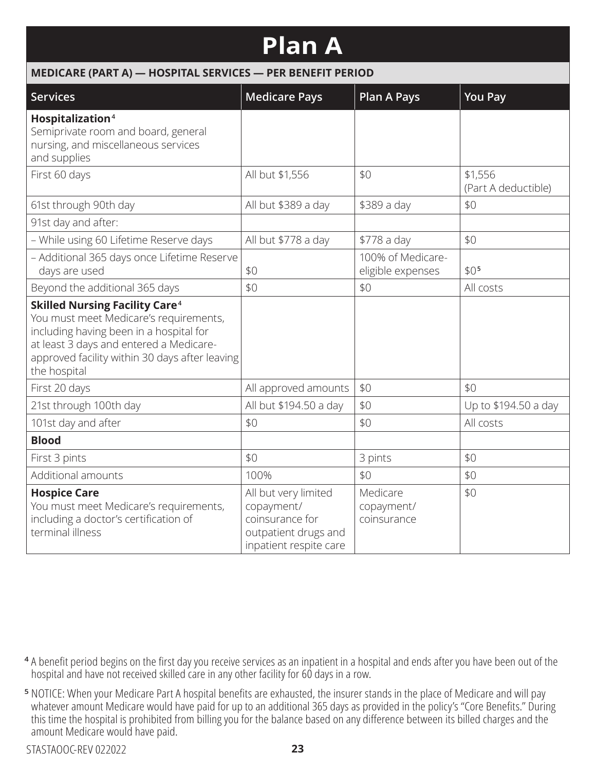## **Plan A**

#### **MEDICARE (PART A) — HOSPITAL SERVICES — PER BENEFIT PERIOD**

| <b>Services</b>                                                                                                                                                                                                                                    | <b>Medicare Pays</b>                                                                                    | <b>Plan A Pays</b>                     | <b>You Pay</b>                 |
|----------------------------------------------------------------------------------------------------------------------------------------------------------------------------------------------------------------------------------------------------|---------------------------------------------------------------------------------------------------------|----------------------------------------|--------------------------------|
| Hospitalization <sup>4</sup><br>Semiprivate room and board, general<br>nursing, and miscellaneous services<br>and supplies                                                                                                                         |                                                                                                         |                                        |                                |
| First 60 days                                                                                                                                                                                                                                      | All but \$1,556                                                                                         | \$0                                    | \$1,556<br>(Part A deductible) |
| 61st through 90th day                                                                                                                                                                                                                              | All but \$389 a day                                                                                     | \$389 a day                            | \$0                            |
| 91st day and after:                                                                                                                                                                                                                                |                                                                                                         |                                        |                                |
| - While using 60 Lifetime Reserve days                                                                                                                                                                                                             | All but \$778 a day                                                                                     | \$778 a day                            | \$0                            |
| - Additional 365 days once Lifetime Reserve<br>days are used                                                                                                                                                                                       | \$0                                                                                                     | 100% of Medicare-<br>eligible expenses | \$0 <sup>5</sup>               |
| Beyond the additional 365 days                                                                                                                                                                                                                     | \$0                                                                                                     | \$0                                    | All costs                      |
| <b>Skilled Nursing Facility Care<sup>4</sup></b><br>You must meet Medicare's requirements,<br>including having been in a hospital for<br>at least 3 days and entered a Medicare-<br>approved facility within 30 days after leaving<br>the hospital |                                                                                                         |                                        |                                |
| First 20 days                                                                                                                                                                                                                                      | All approved amounts                                                                                    | \$0                                    | \$0                            |
| 21st through 100th day                                                                                                                                                                                                                             | All but \$194.50 a day                                                                                  | \$0                                    | Up to \$194.50 a day           |
| 101st day and after                                                                                                                                                                                                                                | \$0                                                                                                     | \$0                                    | All costs                      |
| <b>Blood</b>                                                                                                                                                                                                                                       |                                                                                                         |                                        |                                |
| First 3 pints                                                                                                                                                                                                                                      | \$0                                                                                                     | 3 pints                                | \$0                            |
| Additional amounts                                                                                                                                                                                                                                 | 100%                                                                                                    | \$0                                    | \$0                            |
| <b>Hospice Care</b><br>You must meet Medicare's requirements,<br>including a doctor's certification of<br>terminal illness                                                                                                                         | All but very limited<br>copayment/<br>coinsurance for<br>outpatient drugs and<br>inpatient respite care | Medicare<br>copayment/<br>coinsurance  | \$0                            |

- **<sup>4</sup>** A benefit period begins on the first day you receive services as an inpatient in a hospital and ends after you have been out of the hospital and have not received skilled care in any other facility for 60 days in a row.
- **<sup>5</sup>** NOTICE: When your Medicare Part A hospital benefits are exhausted, the insurer stands in the place of Medicare and will pay whatever amount Medicare would have paid for up to an additional 365 days as provided in the policy's "Core Benefits." During this time the hospital is prohibited from billing you for the balance based on any difference between its billed charges and the amount Medicare would have paid.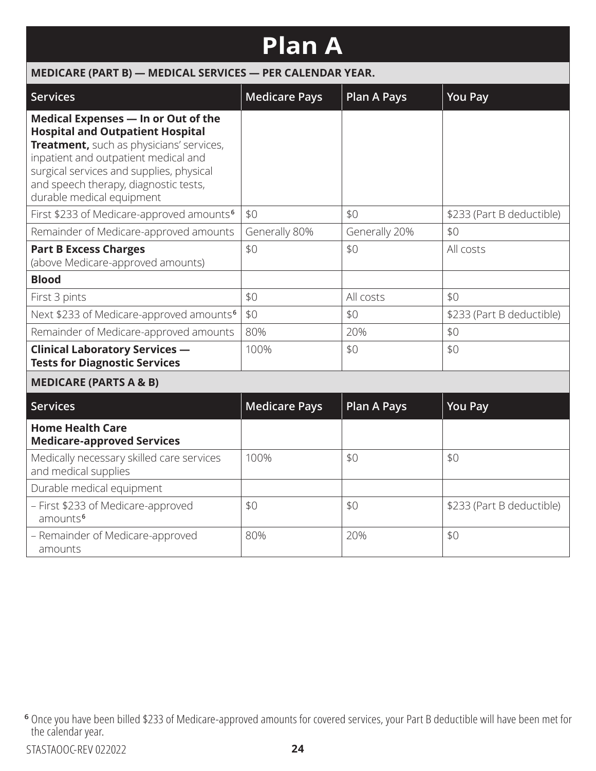## **Plan A**

| MEDICARE (PART B) - MEDICAL SERVICES - PER CALENDAR YEAR.                                                                                                                                                                                                                            |                      |                    |                           |  |
|--------------------------------------------------------------------------------------------------------------------------------------------------------------------------------------------------------------------------------------------------------------------------------------|----------------------|--------------------|---------------------------|--|
| <b>Services</b>                                                                                                                                                                                                                                                                      | <b>Medicare Pays</b> | <b>Plan A Pays</b> | <b>You Pay</b>            |  |
| Medical Expenses - In or Out of the<br><b>Hospital and Outpatient Hospital</b><br>Treatment, such as physicians' services,<br>inpatient and outpatient medical and<br>surgical services and supplies, physical<br>and speech therapy, diagnostic tests,<br>durable medical equipment |                      |                    |                           |  |
| First \$233 of Medicare-approved amounts <sup>6</sup>                                                                                                                                                                                                                                | \$0                  | \$0                | \$233 (Part B deductible) |  |
| Remainder of Medicare-approved amounts                                                                                                                                                                                                                                               | Generally 80%        | Generally 20%      | \$0                       |  |
| <b>Part B Excess Charges</b><br>(above Medicare-approved amounts)                                                                                                                                                                                                                    | \$0                  | \$0                | All costs                 |  |
| <b>Blood</b>                                                                                                                                                                                                                                                                         |                      |                    |                           |  |
| First 3 pints                                                                                                                                                                                                                                                                        | \$0                  | All costs          | \$0                       |  |
| Next \$233 of Medicare-approved amounts <sup>6</sup>                                                                                                                                                                                                                                 | \$0                  | \$0                | \$233 (Part B deductible) |  |
| Remainder of Medicare-approved amounts                                                                                                                                                                                                                                               | 80%                  | 20%                | \$0                       |  |
| <b>Clinical Laboratory Services -</b><br><b>Tests for Diagnostic Services</b>                                                                                                                                                                                                        | 100%                 | \$0                | \$0                       |  |
| <b>MEDICARE (PARTS A &amp; B)</b>                                                                                                                                                                                                                                                    |                      |                    |                           |  |
| <b>Services</b>                                                                                                                                                                                                                                                                      | <b>Medicare Pays</b> | <b>Plan A Pays</b> | <b>You Pay</b>            |  |
| <b>Home Health Care</b><br><b>Medicare-approved Services</b>                                                                                                                                                                                                                         |                      |                    |                           |  |
| Medically necessary skilled care services<br>and medical supplies                                                                                                                                                                                                                    | 100%                 | \$0                | \$0                       |  |
| Durable medical equipment                                                                                                                                                                                                                                                            |                      |                    |                           |  |
| - First \$233 of Medicare-approved<br>amounts <sup>6</sup>                                                                                                                                                                                                                           | \$0                  | \$0                | \$233 (Part B deductible) |  |
| - Remainder of Medicare-approved<br>amounts                                                                                                                                                                                                                                          | 80%                  | 20%                | \$0                       |  |

**<sup>6</sup>** Once you have been billed \$233 of Medicare-approved amounts for covered services, your Part B deductible will have been met for the calendar year.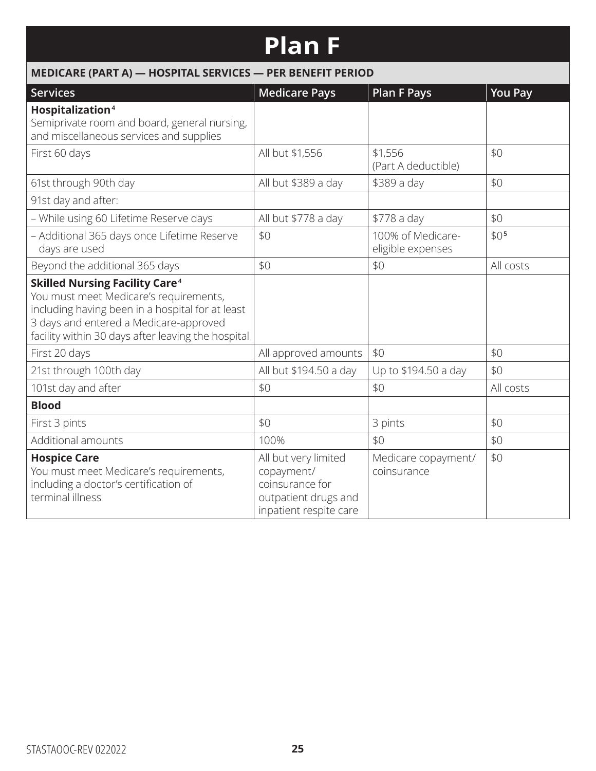## **Plan F**

| MEDICARE (PART A) - HOSPITAL SERVICES - PER BENEFIT PERIOD                                                                                                                                                                                     |                                                                                                         |                                        |                  |  |
|------------------------------------------------------------------------------------------------------------------------------------------------------------------------------------------------------------------------------------------------|---------------------------------------------------------------------------------------------------------|----------------------------------------|------------------|--|
| <b>Services</b>                                                                                                                                                                                                                                | <b>Medicare Pays</b>                                                                                    | <b>Plan F Pays</b>                     | <b>You Pay</b>   |  |
| Hospitalization <sup>4</sup><br>Semiprivate room and board, general nursing,<br>and miscellaneous services and supplies                                                                                                                        |                                                                                                         |                                        |                  |  |
| First 60 days                                                                                                                                                                                                                                  | All but \$1,556                                                                                         | \$1,556<br>(Part A deductible)         | \$0              |  |
| 61st through 90th day                                                                                                                                                                                                                          | All but \$389 a day                                                                                     | \$389 a day                            | \$0              |  |
| 91st day and after:                                                                                                                                                                                                                            |                                                                                                         |                                        |                  |  |
| - While using 60 Lifetime Reserve days                                                                                                                                                                                                         | All but \$778 a day                                                                                     | \$778 a day                            | \$0              |  |
| - Additional 365 days once Lifetime Reserve<br>days are used                                                                                                                                                                                   | \$0                                                                                                     | 100% of Medicare-<br>eligible expenses | \$0 <sub>5</sub> |  |
| Beyond the additional 365 days                                                                                                                                                                                                                 | \$0                                                                                                     | \$0                                    | All costs        |  |
| <b>Skilled Nursing Facility Care<sup>4</sup></b><br>You must meet Medicare's requirements,<br>including having been in a hospital for at least<br>3 days and entered a Medicare-approved<br>facility within 30 days after leaving the hospital |                                                                                                         |                                        |                  |  |
| First 20 days                                                                                                                                                                                                                                  | All approved amounts                                                                                    | \$0                                    | \$0              |  |
| 21st through 100th day                                                                                                                                                                                                                         | All but \$194.50 a day                                                                                  | Up to \$194.50 a day                   | \$0              |  |
| 101st day and after                                                                                                                                                                                                                            | \$0                                                                                                     | \$0                                    | All costs        |  |
| <b>Blood</b>                                                                                                                                                                                                                                   |                                                                                                         |                                        |                  |  |
| First 3 pints                                                                                                                                                                                                                                  | \$0                                                                                                     | 3 pints                                | \$0              |  |
| Additional amounts                                                                                                                                                                                                                             | 100%                                                                                                    | \$0                                    | \$0              |  |
| <b>Hospice Care</b><br>You must meet Medicare's requirements,<br>including a doctor's certification of<br>terminal illness                                                                                                                     | All but very limited<br>copayment/<br>coinsurance for<br>outpatient drugs and<br>inpatient respite care | Medicare copayment/<br>coinsurance     | \$0              |  |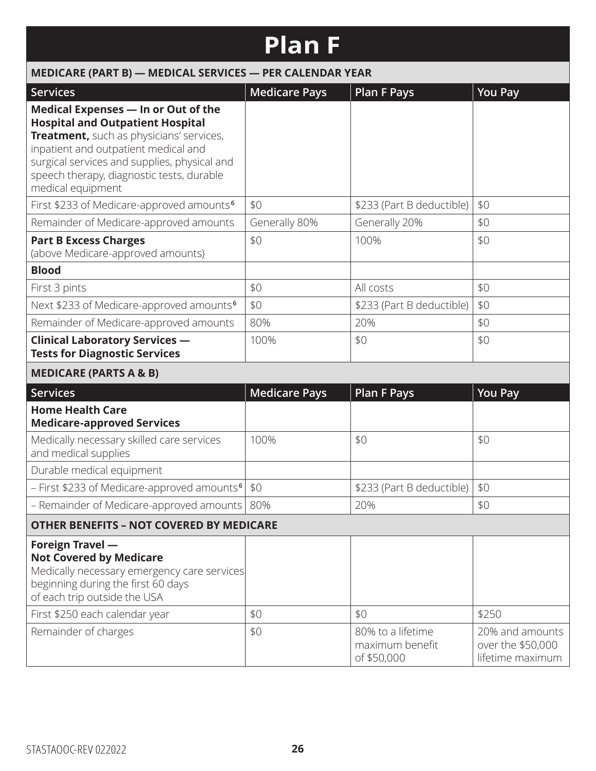## **Plan F**

| MEDICARE (PART B) - MEDICAL SERVICES - PER CALENDAR YEAR                                                                                                                                                                                                                             |                      |                                                     |                                                          |  |
|--------------------------------------------------------------------------------------------------------------------------------------------------------------------------------------------------------------------------------------------------------------------------------------|----------------------|-----------------------------------------------------|----------------------------------------------------------|--|
| <b>Services</b>                                                                                                                                                                                                                                                                      | <b>Medicare Pays</b> | <b>Plan F Pays</b>                                  | <b>You Pay</b>                                           |  |
| Medical Expenses - In or Out of the<br><b>Hospital and Outpatient Hospital</b><br>Treatment, such as physicians' services,<br>inpatient and outpatient medical and<br>surgical services and supplies, physical and<br>speech therapy, diagnostic tests, durable<br>medical equipment |                      |                                                     |                                                          |  |
| First \$233 of Medicare-approved amounts <sup>6</sup>                                                                                                                                                                                                                                | \$0                  | \$233 (Part B deductible)                           | \$0                                                      |  |
| Remainder of Medicare-approved amounts                                                                                                                                                                                                                                               | Generally 80%        | Generally 20%                                       | \$0                                                      |  |
| <b>Part B Excess Charges</b><br>(above Medicare-approved amounts)                                                                                                                                                                                                                    | \$0                  | 100%                                                | \$0                                                      |  |
| <b>Blood</b>                                                                                                                                                                                                                                                                         |                      |                                                     |                                                          |  |
| First 3 pints                                                                                                                                                                                                                                                                        | \$0                  | All costs                                           | \$0                                                      |  |
| Next \$233 of Medicare-approved amounts <sup>6</sup>                                                                                                                                                                                                                                 | \$0                  | \$233 (Part B deductible)                           | \$0                                                      |  |
| Remainder of Medicare-approved amounts                                                                                                                                                                                                                                               | 80%                  | 20%                                                 | \$0                                                      |  |
| <b>Clinical Laboratory Services -</b><br><b>Tests for Diagnostic Services</b>                                                                                                                                                                                                        | 100%                 | \$0                                                 | \$0                                                      |  |
| <b>MEDICARE (PARTS A &amp; B)</b>                                                                                                                                                                                                                                                    |                      |                                                     |                                                          |  |
| <b>Services</b>                                                                                                                                                                                                                                                                      | <b>Medicare Pays</b> | <b>Plan F Pays</b>                                  | <b>You Pay</b>                                           |  |
| <b>Home Health Care</b><br><b>Medicare-approved Services</b>                                                                                                                                                                                                                         |                      |                                                     |                                                          |  |
| Medically necessary skilled care services<br>and medical supplies                                                                                                                                                                                                                    | 100%                 | \$0                                                 | \$0                                                      |  |
| Durable medical equipment                                                                                                                                                                                                                                                            |                      |                                                     |                                                          |  |
| - First \$233 of Medicare-approved amounts <sup>6</sup>                                                                                                                                                                                                                              | \$0                  | \$233 (Part B deductible)                           | \$0                                                      |  |
| - Remainder of Medicare-approved amounts                                                                                                                                                                                                                                             | 80%                  | 20%                                                 | \$0                                                      |  |
| <b>OTHER BENEFITS - NOT COVERED BY MEDICARE</b>                                                                                                                                                                                                                                      |                      |                                                     |                                                          |  |
| <b>Foreign Travel -</b><br><b>Not Covered by Medicare</b><br>Medically necessary emergency care services<br>beginning during the first 60 days<br>of each trip outside the USA<br>First \$250 each calendar year                                                                     | \$0                  | \$0                                                 | \$250                                                    |  |
| Remainder of charges                                                                                                                                                                                                                                                                 | \$0                  | 80% to a lifetime<br>maximum benefit<br>of \$50,000 | 20% and amounts<br>over the \$50,000<br>lifetime maximum |  |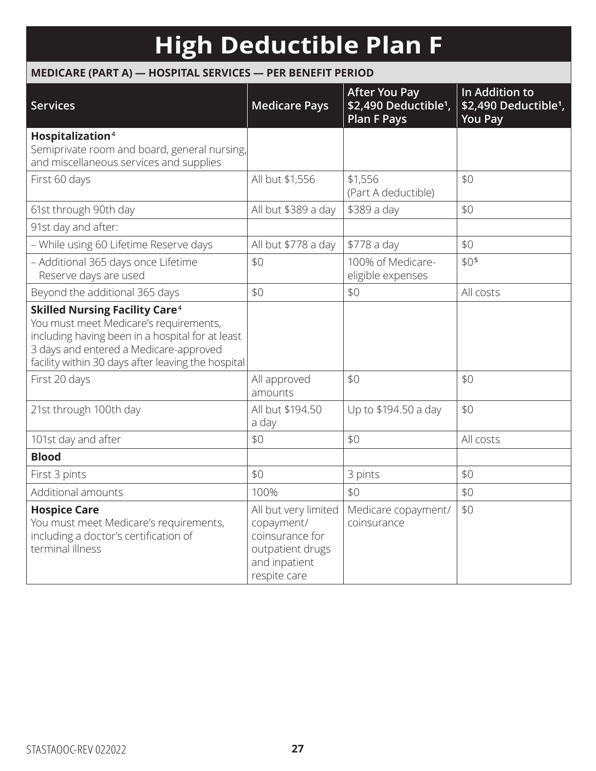## **High Deductible Plan F**

#### **MEDICARE (PART A) — HOSPITAL SERVICES — PER BENEFIT PERIOD**

| <b>Services</b>                                                                                                                                                                                                                                | <b>Medicare Pays</b>                                                                                       | <b>After You Pay</b><br>\$2,490 Deductible <sup>1</sup> ,<br><b>Plan F Pays</b> | In Addition to<br>\$2,490 Deductible <sup>1</sup> ,<br><b>You Pay</b> |
|------------------------------------------------------------------------------------------------------------------------------------------------------------------------------------------------------------------------------------------------|------------------------------------------------------------------------------------------------------------|---------------------------------------------------------------------------------|-----------------------------------------------------------------------|
| Hospitalization <sup>4</sup><br>Semiprivate room and board, general nursing,<br>and miscellaneous services and supplies                                                                                                                        |                                                                                                            |                                                                                 |                                                                       |
| First 60 days                                                                                                                                                                                                                                  | All but \$1,556                                                                                            | \$1,556<br>(Part A deductible)                                                  | \$0                                                                   |
| 61st through 90th day                                                                                                                                                                                                                          | All but \$389 a day                                                                                        | \$389 a day                                                                     | \$0                                                                   |
| 91st day and after:                                                                                                                                                                                                                            |                                                                                                            |                                                                                 |                                                                       |
| - While using 60 Lifetime Reserve days                                                                                                                                                                                                         | All but \$778 a day                                                                                        | \$778 a day                                                                     | \$0                                                                   |
| - Additional 365 days once Lifetime<br>Reserve days are used                                                                                                                                                                                   | \$0                                                                                                        | 100% of Medicare-<br>eligible expenses                                          | \$0 <sub>5</sub>                                                      |
| Beyond the additional 365 days                                                                                                                                                                                                                 | \$0                                                                                                        | \$0                                                                             | All costs                                                             |
| <b>Skilled Nursing Facility Care<sup>4</sup></b><br>You must meet Medicare's requirements,<br>including having been in a hospital for at least<br>3 days and entered a Medicare-approved<br>facility within 30 days after leaving the hospital |                                                                                                            |                                                                                 |                                                                       |
| First 20 days                                                                                                                                                                                                                                  | All approved<br>amounts                                                                                    | \$0                                                                             | \$0                                                                   |
| 21st through 100th day                                                                                                                                                                                                                         | All but \$194.50<br>a day                                                                                  | Up to \$194.50 a day                                                            | \$0                                                                   |
| 101st day and after                                                                                                                                                                                                                            | \$0                                                                                                        | \$0                                                                             | All costs                                                             |
| <b>Blood</b>                                                                                                                                                                                                                                   |                                                                                                            |                                                                                 |                                                                       |
| First 3 pints                                                                                                                                                                                                                                  | \$0                                                                                                        | 3 pints                                                                         | \$0                                                                   |
| Additional amounts                                                                                                                                                                                                                             | 100%                                                                                                       | \$0                                                                             | \$0                                                                   |
| <b>Hospice Care</b><br>You must meet Medicare's requirements,<br>including a doctor's certification of<br>terminal illness                                                                                                                     | All but very limited<br>copayment/<br>coinsurance for<br>outpatient drugs<br>and inpatient<br>respite care | Medicare copayment/<br>coinsurance                                              | \$0                                                                   |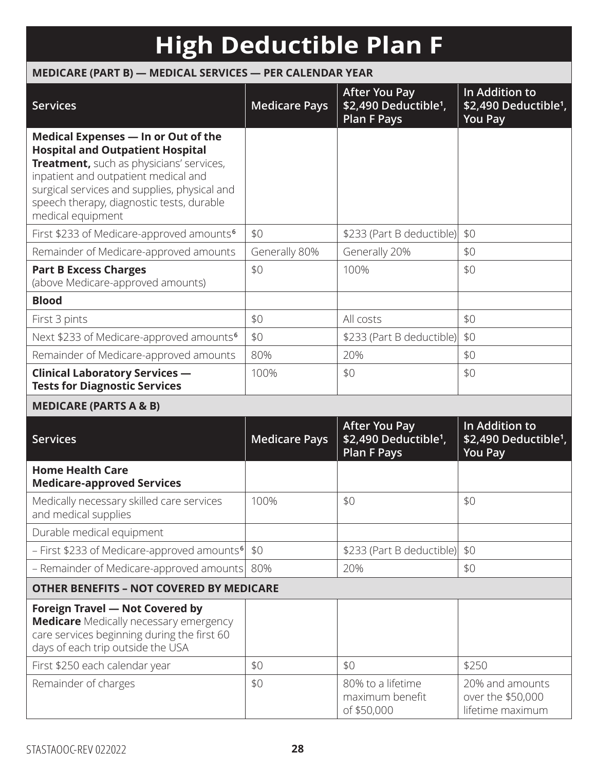## **High Deductible Plan F**

### **MEDICARE (PART B) — MEDICAL SERVICES — PER CALENDAR YEAR**

| <b>Services</b>                                                                                                                                                                                                                                                                      | <b>Medicare Pays</b> | <b>After You Pay</b><br>\$2,490 Deductible <sup>1</sup> ,<br><b>Plan F Pays</b> | In Addition to<br>\$2,490 Deductible <sup>1</sup> ,<br><b>You Pay</b> |
|--------------------------------------------------------------------------------------------------------------------------------------------------------------------------------------------------------------------------------------------------------------------------------------|----------------------|---------------------------------------------------------------------------------|-----------------------------------------------------------------------|
| Medical Expenses - In or Out of the<br><b>Hospital and Outpatient Hospital</b><br>Treatment, such as physicians' services,<br>inpatient and outpatient medical and<br>surgical services and supplies, physical and<br>speech therapy, diagnostic tests, durable<br>medical equipment |                      |                                                                                 |                                                                       |
| First \$233 of Medicare-approved amounts <sup>6</sup>                                                                                                                                                                                                                                | \$0                  | \$233 (Part B deductible)                                                       | \$0                                                                   |
| Remainder of Medicare-approved amounts                                                                                                                                                                                                                                               | Generally 80%        | Generally 20%                                                                   | \$0                                                                   |
| <b>Part B Excess Charges</b><br>(above Medicare-approved amounts)                                                                                                                                                                                                                    | \$0                  | 100%                                                                            | \$0                                                                   |
| <b>Blood</b>                                                                                                                                                                                                                                                                         |                      |                                                                                 |                                                                       |
| First 3 pints                                                                                                                                                                                                                                                                        | \$0                  | All costs                                                                       | \$0                                                                   |
| Next \$233 of Medicare-approved amounts <sup>6</sup>                                                                                                                                                                                                                                 | \$0                  | \$233 (Part B deductible)                                                       | \$0                                                                   |
| Remainder of Medicare-approved amounts                                                                                                                                                                                                                                               | 80%                  | 20%                                                                             | \$0                                                                   |
| <b>Clinical Laboratory Services -</b><br><b>Tests for Diagnostic Services</b>                                                                                                                                                                                                        | 100%                 | \$0                                                                             | \$0                                                                   |
| <b>MEDICARE (PARTS A &amp; B)</b>                                                                                                                                                                                                                                                    |                      |                                                                                 |                                                                       |
| <b>Services</b>                                                                                                                                                                                                                                                                      | <b>Medicare Pays</b> | <b>After You Pay</b><br>\$2,490 Deductible <sup>1</sup> ,<br><b>Plan F Pays</b> | In Addition to<br>\$2,490 Deductible <sup>1</sup> ,<br><b>You Pay</b> |
| <b>Home Health Care</b><br><b>Medicare-approved Services</b>                                                                                                                                                                                                                         |                      |                                                                                 |                                                                       |
| Medically necessary skilled care services<br>and medical supplies                                                                                                                                                                                                                    | 100%                 | \$0                                                                             | \$0                                                                   |
| Durable medical equipment                                                                                                                                                                                                                                                            |                      |                                                                                 |                                                                       |
| - First \$233 of Medicare-approved amounts <sup>6</sup>                                                                                                                                                                                                                              | \$0                  | \$233 (Part B deductible)                                                       | \$0                                                                   |
| - Remainder of Medicare-approved amounts                                                                                                                                                                                                                                             | 80%                  | 20%                                                                             | \$0                                                                   |
| <b>OTHER BENEFITS - NOT COVERED BY MEDICARE</b>                                                                                                                                                                                                                                      |                      |                                                                                 |                                                                       |
| Foreign Travel - Not Covered by<br><b>Medicare</b> Medically necessary emergency<br>care services beginning during the first 60<br>days of each trip outside the USA                                                                                                                 |                      |                                                                                 |                                                                       |
| First \$250 each calendar year                                                                                                                                                                                                                                                       | \$0                  | \$0                                                                             | \$250                                                                 |
| Remainder of charges                                                                                                                                                                                                                                                                 | \$0                  | 80% to a lifetime<br>maximum benefit<br>of \$50,000                             | 20% and amounts<br>over the \$50,000<br>lifetime maximum              |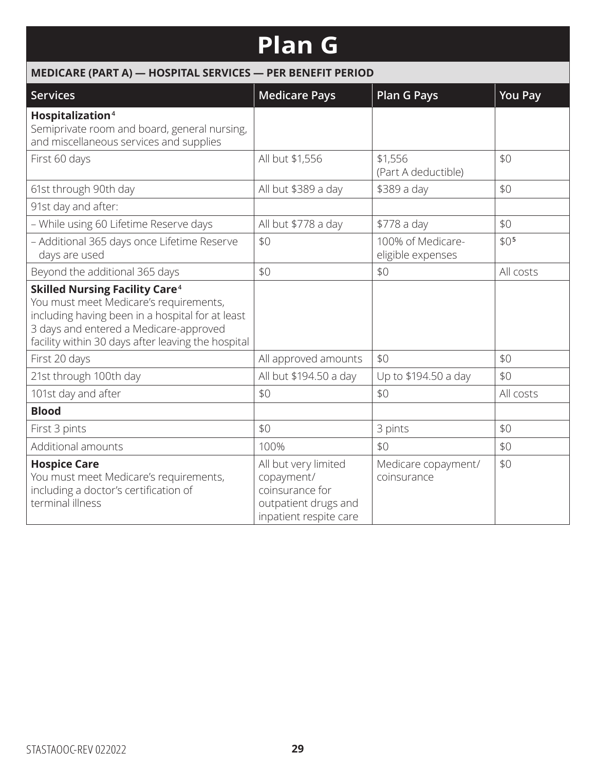### **Plan G**

| MEDICARE (PART A) - HOSPITAL SERVICES - PER BENEFIT PERIOD                                                                                                                                                                                     |                                                                                                         |                                        |                  |  |
|------------------------------------------------------------------------------------------------------------------------------------------------------------------------------------------------------------------------------------------------|---------------------------------------------------------------------------------------------------------|----------------------------------------|------------------|--|
| <b>Services</b>                                                                                                                                                                                                                                | <b>Medicare Pays</b>                                                                                    | <b>Plan G Pays</b>                     | <b>You Pay</b>   |  |
| Hospitalization <sup>4</sup><br>Semiprivate room and board, general nursing,<br>and miscellaneous services and supplies                                                                                                                        |                                                                                                         |                                        |                  |  |
| First 60 days                                                                                                                                                                                                                                  | All but \$1,556                                                                                         | \$1,556<br>(Part A deductible)         | \$0              |  |
| 61st through 90th day                                                                                                                                                                                                                          | All but \$389 a day                                                                                     | \$389 a day                            | \$0              |  |
| 91st day and after:                                                                                                                                                                                                                            |                                                                                                         |                                        |                  |  |
| - While using 60 Lifetime Reserve days                                                                                                                                                                                                         | All but \$778 a day                                                                                     | \$778 a day                            | \$0              |  |
| - Additional 365 days once Lifetime Reserve<br>days are used                                                                                                                                                                                   | \$0                                                                                                     | 100% of Medicare-<br>eligible expenses | \$0 <sub>5</sub> |  |
| Beyond the additional 365 days                                                                                                                                                                                                                 | \$0                                                                                                     | \$0                                    | All costs        |  |
| <b>Skilled Nursing Facility Care<sup>4</sup></b><br>You must meet Medicare's requirements,<br>including having been in a hospital for at least<br>3 days and entered a Medicare-approved<br>facility within 30 days after leaving the hospital |                                                                                                         |                                        |                  |  |
| First 20 days                                                                                                                                                                                                                                  | All approved amounts                                                                                    | \$0                                    | \$0              |  |
| 21st through 100th day                                                                                                                                                                                                                         | All but \$194.50 a day                                                                                  | Up to \$194.50 a day                   | \$0              |  |
| 101st day and after                                                                                                                                                                                                                            | \$0                                                                                                     | \$0                                    | All costs        |  |
| <b>Blood</b>                                                                                                                                                                                                                                   |                                                                                                         |                                        |                  |  |
| First 3 pints                                                                                                                                                                                                                                  | \$0                                                                                                     | 3 pints                                | \$0              |  |
| Additional amounts                                                                                                                                                                                                                             | 100%                                                                                                    | \$0                                    | \$0              |  |
| <b>Hospice Care</b><br>You must meet Medicare's requirements,<br>including a doctor's certification of<br>terminal illness                                                                                                                     | All but very limited<br>copayment/<br>coinsurance for<br>outpatient drugs and<br>inpatient respite care | Medicare copayment/<br>coinsurance     | \$0              |  |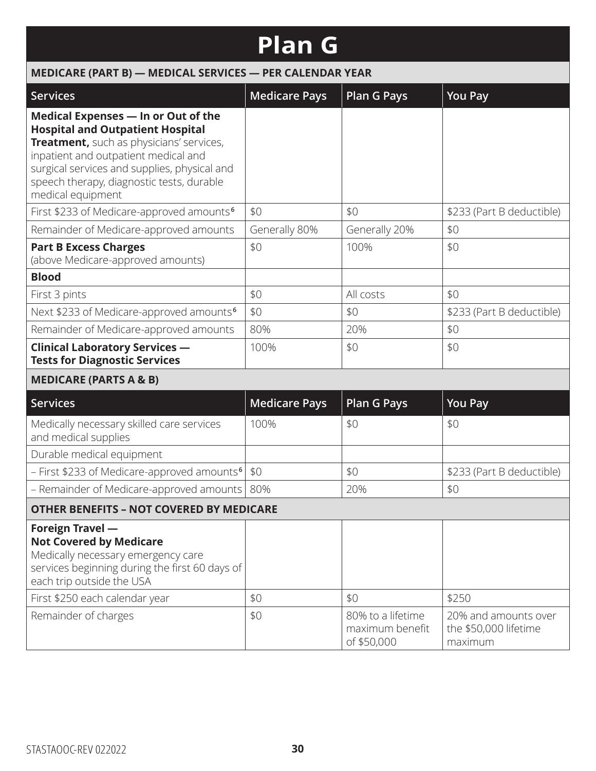## **Plan G**

|                                                                                                                                                                                                                                                                                      | IUII J               |                                                            |                                                                   |  |  |
|--------------------------------------------------------------------------------------------------------------------------------------------------------------------------------------------------------------------------------------------------------------------------------------|----------------------|------------------------------------------------------------|-------------------------------------------------------------------|--|--|
| MEDICARE (PART B) - MEDICAL SERVICES - PER CALENDAR YEAR                                                                                                                                                                                                                             |                      |                                                            |                                                                   |  |  |
| <b>Services</b>                                                                                                                                                                                                                                                                      | <b>Medicare Pays</b> | <b>Plan G Pays</b>                                         | <b>You Pay</b>                                                    |  |  |
| Medical Expenses - In or Out of the<br><b>Hospital and Outpatient Hospital</b><br>Treatment, such as physicians' services,<br>inpatient and outpatient medical and<br>surgical services and supplies, physical and<br>speech therapy, diagnostic tests, durable<br>medical equipment |                      |                                                            |                                                                   |  |  |
| First \$233 of Medicare-approved amounts <sup>6</sup>                                                                                                                                                                                                                                | \$0                  | \$0                                                        | \$233 (Part B deductible)                                         |  |  |
| Remainder of Medicare-approved amounts                                                                                                                                                                                                                                               | Generally 80%        | Generally 20%                                              | \$0                                                               |  |  |
| <b>Part B Excess Charges</b><br>(above Medicare-approved amounts)                                                                                                                                                                                                                    | \$0                  | 100%                                                       | \$0                                                               |  |  |
| <b>Blood</b>                                                                                                                                                                                                                                                                         |                      |                                                            |                                                                   |  |  |
| First 3 pints                                                                                                                                                                                                                                                                        | \$0                  | All costs                                                  | \$0                                                               |  |  |
| Next \$233 of Medicare-approved amounts <sup>6</sup>                                                                                                                                                                                                                                 | \$0                  | \$0                                                        | \$233 (Part B deductible)                                         |  |  |
| Remainder of Medicare-approved amounts                                                                                                                                                                                                                                               | 80%                  | 20%                                                        | \$0                                                               |  |  |
| <b>Clinical Laboratory Services -</b><br><b>Tests for Diagnostic Services</b>                                                                                                                                                                                                        | 100%                 | \$0                                                        | \$0                                                               |  |  |
| <b>MEDICARE (PARTS A &amp; B)</b>                                                                                                                                                                                                                                                    |                      |                                                            |                                                                   |  |  |
| <b>Services</b>                                                                                                                                                                                                                                                                      | <b>Medicare Pays</b> | <b>Plan G Pays</b>                                         | <b>You Pay</b>                                                    |  |  |
| Medically necessary skilled care services<br>and medical supplies                                                                                                                                                                                                                    | 100%                 | \$0                                                        | \$0                                                               |  |  |
| Durable medical equipment                                                                                                                                                                                                                                                            |                      |                                                            |                                                                   |  |  |
| - First \$233 of Medicare-approved amounts <sup>6</sup>                                                                                                                                                                                                                              | \$0                  | \$0                                                        | \$233 (Part B deductible)                                         |  |  |
| - Remainder of Medicare-approved amounts   80%                                                                                                                                                                                                                                       |                      | 20%                                                        | \$0                                                               |  |  |
| <b>OTHER BENEFITS - NOT COVERED BY MEDICARE</b>                                                                                                                                                                                                                                      |                      |                                                            |                                                                   |  |  |
| Foreign Travel -<br><b>Not Covered by Medicare</b><br>Medically necessary emergency care<br>services beginning during the first 60 days of<br>each trip outside the USA<br>First \$250 each calendar year<br>Remainder of charges                                                    | \$0<br>\$0           | \$0<br>80% to a lifetime<br>maximum benefit<br>of \$50,000 | \$250<br>20% and amounts over<br>the \$50,000 lifetime<br>maximum |  |  |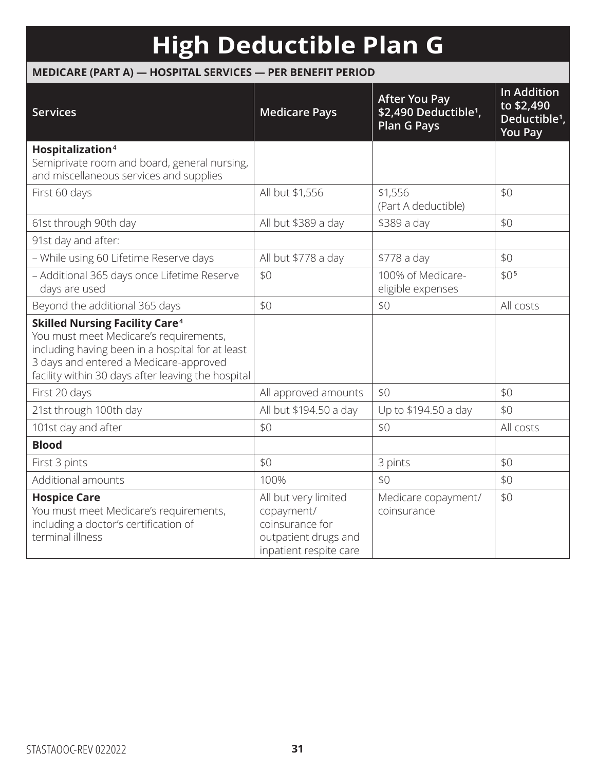## **High Deductible Plan G**

### **MEDICARE (PART A) — HOSPITAL SERVICES — PER BENEFIT PERIOD**

| <b>Services</b>                                                                                                                                                                                                                                | <b>Medicare Pays</b>                                                                                    | <b>After You Pay</b><br>\$2,490 Deductible <sup>1</sup> ,<br><b>Plan G Pays</b> | <b>In Addition</b><br>to \$2,490<br>Deductible <sup>1</sup> ,<br><b>You Pay</b> |
|------------------------------------------------------------------------------------------------------------------------------------------------------------------------------------------------------------------------------------------------|---------------------------------------------------------------------------------------------------------|---------------------------------------------------------------------------------|---------------------------------------------------------------------------------|
| Hospitalization <sup>4</sup>                                                                                                                                                                                                                   |                                                                                                         |                                                                                 |                                                                                 |
| Semiprivate room and board, general nursing,<br>and miscellaneous services and supplies                                                                                                                                                        |                                                                                                         |                                                                                 |                                                                                 |
| First 60 days                                                                                                                                                                                                                                  | All but \$1,556                                                                                         | \$1,556<br>(Part A deductible)                                                  | \$0                                                                             |
| 61st through 90th day                                                                                                                                                                                                                          | All but \$389 a day                                                                                     | \$389 a day                                                                     | \$0                                                                             |
| 91st day and after:                                                                                                                                                                                                                            |                                                                                                         |                                                                                 |                                                                                 |
| - While using 60 Lifetime Reserve days                                                                                                                                                                                                         | All but \$778 a day                                                                                     | \$778 a day                                                                     | \$0                                                                             |
| - Additional 365 days once Lifetime Reserve<br>days are used                                                                                                                                                                                   | \$0                                                                                                     | 100% of Medicare-<br>eligible expenses                                          | \$0 <sub>5</sub>                                                                |
| Beyond the additional 365 days                                                                                                                                                                                                                 | \$0                                                                                                     | \$0                                                                             | All costs                                                                       |
| <b>Skilled Nursing Facility Care<sup>4</sup></b><br>You must meet Medicare's requirements,<br>including having been in a hospital for at least<br>3 days and entered a Medicare-approved<br>facility within 30 days after leaving the hospital |                                                                                                         |                                                                                 |                                                                                 |
| First 20 days                                                                                                                                                                                                                                  | All approved amounts                                                                                    | \$0                                                                             | \$0                                                                             |
| 21st through 100th day                                                                                                                                                                                                                         | All but \$194.50 a day                                                                                  | Up to \$194.50 a day                                                            | \$0                                                                             |
| 101st day and after                                                                                                                                                                                                                            | \$0                                                                                                     | \$0                                                                             | All costs                                                                       |
| <b>Blood</b>                                                                                                                                                                                                                                   |                                                                                                         |                                                                                 |                                                                                 |
| First 3 pints                                                                                                                                                                                                                                  | \$0                                                                                                     | 3 pints                                                                         | \$0                                                                             |
| Additional amounts                                                                                                                                                                                                                             | 100%                                                                                                    | \$0                                                                             | \$0                                                                             |
| <b>Hospice Care</b><br>You must meet Medicare's requirements,<br>including a doctor's certification of<br>terminal illness                                                                                                                     | All but very limited<br>copayment/<br>coinsurance for<br>outpatient drugs and<br>inpatient respite care | Medicare copayment/<br>coinsurance                                              | \$0                                                                             |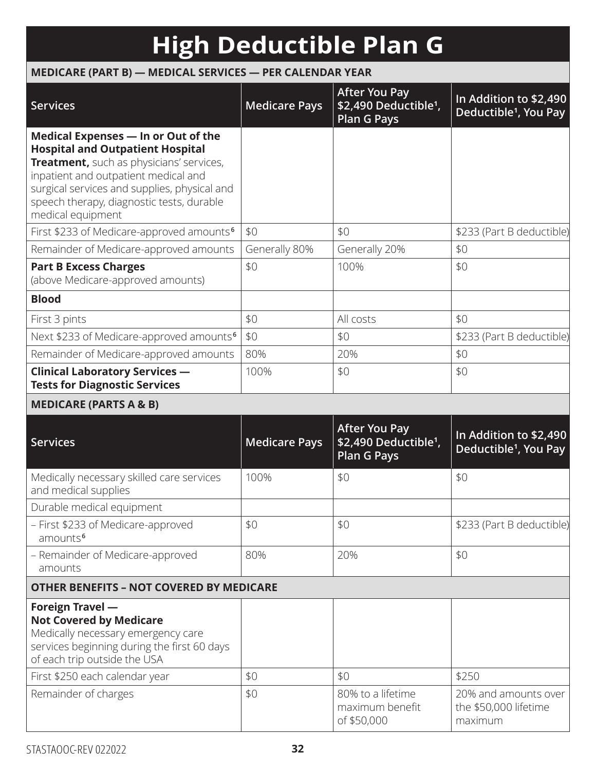# **High Deductible Plan G**

### **MEDICARE (PART B) — MEDICAL SERVICES — PER CALENDAR YEAR**

| <b>Services</b>                                                                                                                                                                                                                                                                      | <b>Medicare Pays</b> | <b>After You Pay</b><br>\$2,490 Deductible <sup>1</sup> ,<br><b>Plan G Pays</b> | In Addition to \$2,490<br>Deductible <sup>1</sup> , You Pay |
|--------------------------------------------------------------------------------------------------------------------------------------------------------------------------------------------------------------------------------------------------------------------------------------|----------------------|---------------------------------------------------------------------------------|-------------------------------------------------------------|
| Medical Expenses - In or Out of the<br><b>Hospital and Outpatient Hospital</b><br>Treatment, such as physicians' services,<br>inpatient and outpatient medical and<br>surgical services and supplies, physical and<br>speech therapy, diagnostic tests, durable<br>medical equipment |                      |                                                                                 |                                                             |
| First \$233 of Medicare-approved amounts <sup>6</sup>                                                                                                                                                                                                                                | \$0                  | \$0                                                                             | \$233 (Part B deductible)                                   |
| Remainder of Medicare-approved amounts                                                                                                                                                                                                                                               | Generally 80%        | Generally 20%                                                                   | \$0                                                         |
| <b>Part B Excess Charges</b><br>(above Medicare-approved amounts)                                                                                                                                                                                                                    | \$0                  | 100%                                                                            | \$0                                                         |
| <b>Blood</b>                                                                                                                                                                                                                                                                         |                      |                                                                                 |                                                             |
| First 3 pints                                                                                                                                                                                                                                                                        | \$0                  | All costs                                                                       | \$0                                                         |
| Next \$233 of Medicare-approved amounts <sup>6</sup>                                                                                                                                                                                                                                 | \$0                  | \$0                                                                             | \$233 (Part B deductible)                                   |
| Remainder of Medicare-approved amounts                                                                                                                                                                                                                                               | 80%                  | 20%                                                                             | \$0                                                         |
| <b>Clinical Laboratory Services -</b><br><b>Tests for Diagnostic Services</b>                                                                                                                                                                                                        | 100%                 | \$0                                                                             | \$0                                                         |
| <b>MEDICARE (PARTS A &amp; B)</b>                                                                                                                                                                                                                                                    |                      |                                                                                 |                                                             |
| <b>Services</b>                                                                                                                                                                                                                                                                      | <b>Medicare Pays</b> | <b>After You Pay</b><br>\$2,490 Deductible <sup>1</sup> ,<br><b>Plan G Pays</b> | In Addition to \$2,490<br>Deductible <sup>1</sup> , You Pay |
| Medically necessary skilled care services<br>and medical supplies                                                                                                                                                                                                                    | 100%                 | \$0                                                                             | \$0                                                         |
| Durable medical equipment                                                                                                                                                                                                                                                            |                      |                                                                                 |                                                             |
| - First \$233 of Medicare-approved<br>amounts <sup>6</sup>                                                                                                                                                                                                                           | \$0                  | \$0                                                                             | \$233 (Part B deductible)                                   |
| - Remainder of Medicare-approved<br>amounts                                                                                                                                                                                                                                          | 80%                  | 20%                                                                             | \$0                                                         |
| <b>OTHER BENEFITS - NOT COVERED BY MEDICARE</b>                                                                                                                                                                                                                                      |                      |                                                                                 |                                                             |
| <b>Foreign Travel -</b><br><b>Not Covered by Medicare</b><br>Medically necessary emergency care<br>services beginning during the first 60 days<br>of each trip outside the USA                                                                                                       |                      |                                                                                 |                                                             |
| First \$250 each calendar year                                                                                                                                                                                                                                                       | \$0                  | \$0                                                                             | \$250                                                       |
| Remainder of charges                                                                                                                                                                                                                                                                 | \$0                  | 80% to a lifetime<br>maximum benefit<br>of \$50,000                             | 20% and amounts over<br>the \$50,000 lifetime<br>maximum    |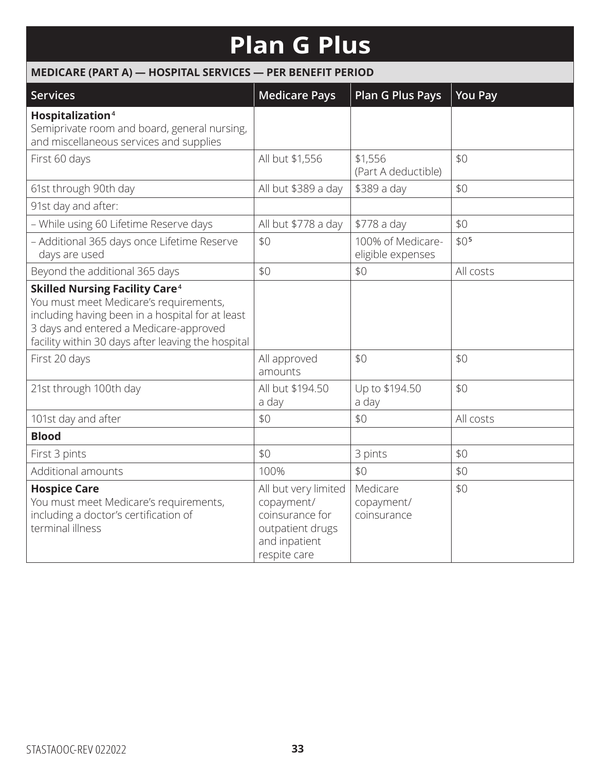## **Plan G Plus**

|                                                                                                                                                                                                                                     | MEDICARE (PART A) - HOSPITAL SERVICES - PER BENEFIT PERIOD                                                 |                                        |                  |  |  |  |
|-------------------------------------------------------------------------------------------------------------------------------------------------------------------------------------------------------------------------------------|------------------------------------------------------------------------------------------------------------|----------------------------------------|------------------|--|--|--|
| <b>Services</b>                                                                                                                                                                                                                     | <b>Medicare Pays</b>                                                                                       | <b>Plan G Plus Pays</b>                | <b>You Pay</b>   |  |  |  |
| Hospitalization <sup>4</sup><br>Semiprivate room and board, general nursing,<br>and miscellaneous services and supplies                                                                                                             |                                                                                                            |                                        |                  |  |  |  |
| First 60 days                                                                                                                                                                                                                       | All but \$1,556                                                                                            | \$1,556<br>(Part A deductible)         | \$0              |  |  |  |
| 61st through 90th day                                                                                                                                                                                                               | All but \$389 a day                                                                                        | \$389 a day                            | \$0              |  |  |  |
| 91st day and after:                                                                                                                                                                                                                 |                                                                                                            |                                        |                  |  |  |  |
| - While using 60 Lifetime Reserve days                                                                                                                                                                                              | All but \$778 a day                                                                                        | \$778 a day                            | \$0              |  |  |  |
| - Additional 365 days once Lifetime Reserve<br>days are used                                                                                                                                                                        | \$0                                                                                                        | 100% of Medicare-<br>eligible expenses | \$0 <sup>5</sup> |  |  |  |
| Beyond the additional 365 days                                                                                                                                                                                                      | \$0                                                                                                        | \$0                                    | All costs        |  |  |  |
| <b>Skilled Nursing Facility Care4</b><br>You must meet Medicare's requirements,<br>including having been in a hospital for at least<br>3 days and entered a Medicare-approved<br>facility within 30 days after leaving the hospital |                                                                                                            |                                        |                  |  |  |  |
| First 20 days                                                                                                                                                                                                                       | All approved<br>amounts                                                                                    | \$0                                    | \$0              |  |  |  |
| 21st through 100th day                                                                                                                                                                                                              | All but \$194.50<br>a day                                                                                  | Up to \$194.50<br>a day                | \$0              |  |  |  |
| 101st day and after                                                                                                                                                                                                                 | \$0                                                                                                        | \$0                                    | All costs        |  |  |  |
| <b>Blood</b>                                                                                                                                                                                                                        |                                                                                                            |                                        |                  |  |  |  |
| First 3 pints                                                                                                                                                                                                                       | \$0                                                                                                        | 3 pints                                | \$0              |  |  |  |
| Additional amounts                                                                                                                                                                                                                  | 100%                                                                                                       | \$0                                    | \$0              |  |  |  |
| <b>Hospice Care</b><br>You must meet Medicare's requirements,<br>including a doctor's certification of<br>terminal illness                                                                                                          | All but very limited<br>copayment/<br>coinsurance for<br>outpatient drugs<br>and inpatient<br>respite care | Medicare<br>copayment/<br>coinsurance  | \$0              |  |  |  |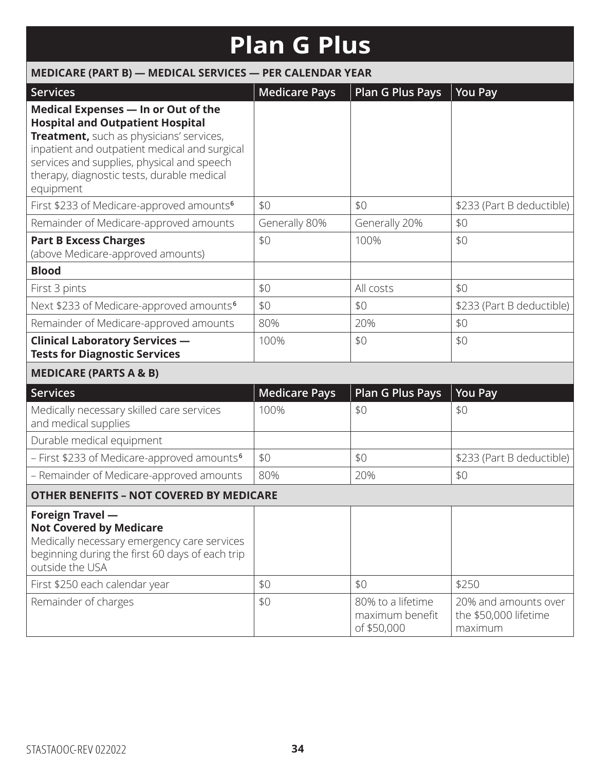## **Plan G Plus**

| MEDICARE (PART B) - MEDICAL SERVICES - PER CALENDAR YEAR                                                                                                                                                                                                                             |                      |                                                     |                                                          |
|--------------------------------------------------------------------------------------------------------------------------------------------------------------------------------------------------------------------------------------------------------------------------------------|----------------------|-----------------------------------------------------|----------------------------------------------------------|
| <b>Services</b>                                                                                                                                                                                                                                                                      | <b>Medicare Pays</b> | Plan G Plus Pays                                    | <b>You Pay</b>                                           |
| Medical Expenses - In or Out of the<br><b>Hospital and Outpatient Hospital</b><br>Treatment, such as physicians' services,<br>inpatient and outpatient medical and surgical<br>services and supplies, physical and speech<br>therapy, diagnostic tests, durable medical<br>equipment |                      |                                                     |                                                          |
| First \$233 of Medicare-approved amounts <sup>6</sup>                                                                                                                                                                                                                                | \$0                  | \$0                                                 | \$233 (Part B deductible)                                |
| Remainder of Medicare-approved amounts                                                                                                                                                                                                                                               | Generally 80%        | Generally 20%                                       | \$0                                                      |
| <b>Part B Excess Charges</b><br>(above Medicare-approved amounts)                                                                                                                                                                                                                    | \$0                  | 100%                                                | \$0                                                      |
| <b>Blood</b>                                                                                                                                                                                                                                                                         |                      |                                                     |                                                          |
| First 3 pints                                                                                                                                                                                                                                                                        | \$0                  | All costs                                           | \$0                                                      |
| Next \$233 of Medicare-approved amounts <sup>6</sup>                                                                                                                                                                                                                                 | \$0                  | \$0                                                 | \$233 (Part B deductible)                                |
| Remainder of Medicare-approved amounts                                                                                                                                                                                                                                               | 80%                  | 20%                                                 | \$0                                                      |
| <b>Clinical Laboratory Services -</b><br><b>Tests for Diagnostic Services</b>                                                                                                                                                                                                        | 100%                 | \$0                                                 | \$0                                                      |
| <b>MEDICARE (PARTS A &amp; B)</b>                                                                                                                                                                                                                                                    |                      |                                                     |                                                          |
| <b>Services</b>                                                                                                                                                                                                                                                                      | <b>Medicare Pays</b> | <b>Plan G Plus Pays</b>                             | <b>You Pay</b>                                           |
| Medically necessary skilled care services<br>and medical supplies                                                                                                                                                                                                                    | 100%                 | \$0                                                 | \$0                                                      |
| Durable medical equipment                                                                                                                                                                                                                                                            |                      |                                                     |                                                          |
| - First \$233 of Medicare-approved amounts <sup>6</sup>                                                                                                                                                                                                                              | \$0                  | \$0                                                 | \$233 (Part B deductible)                                |
| - Remainder of Medicare-approved amounts                                                                                                                                                                                                                                             | 80%                  | 20%                                                 | \$0                                                      |
| <b>OTHER BENEFITS - NOT COVERED BY MEDICARE</b>                                                                                                                                                                                                                                      |                      |                                                     |                                                          |
| Foreign Travel -<br><b>Not Covered by Medicare</b><br>Medically necessary emergency care services<br>beginning during the first 60 days of each trip<br>outside the USA                                                                                                              |                      |                                                     |                                                          |
| First \$250 each calendar year                                                                                                                                                                                                                                                       | \$0                  | \$0                                                 | \$250                                                    |
| Remainder of charges                                                                                                                                                                                                                                                                 | \$0                  | 80% to a lifetime<br>maximum benefit<br>of \$50,000 | 20% and amounts over<br>the \$50,000 lifetime<br>maximum |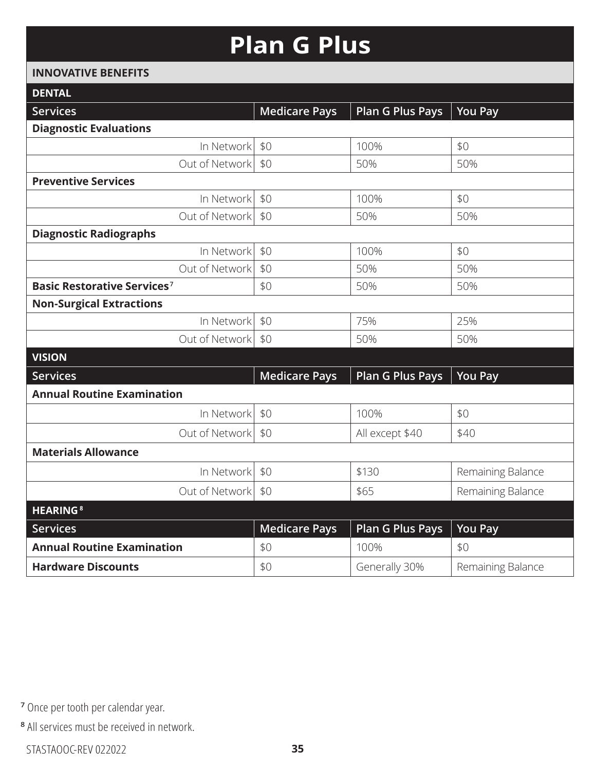### **Plan G Plus**

#### **INNOVATIVE BENEFITS**

| <b>DENTAL</b>                           |                      |                         |                   |
|-----------------------------------------|----------------------|-------------------------|-------------------|
| <b>Services</b>                         | <b>Medicare Pays</b> | <b>Plan G Plus Pays</b> | <b>You Pay</b>    |
| <b>Diagnostic Evaluations</b>           |                      |                         |                   |
| In Network                              | \$0                  | 100%                    | \$0               |
| Out of Network                          | \$0                  | 50%                     | 50%               |
| <b>Preventive Services</b>              |                      |                         |                   |
| In Network                              | \$0                  | 100%                    | \$0               |
| Out of Network                          | \$0                  | 50%                     | 50%               |
| <b>Diagnostic Radiographs</b>           |                      |                         |                   |
| In Network                              | \$0                  | 100%                    | \$0               |
| Out of Network                          | \$0                  | 50%                     | 50%               |
| Basic Restorative Services <sup>7</sup> | \$0                  | 50%                     | 50%               |
| <b>Non-Surgical Extractions</b>         |                      |                         |                   |
| In Network                              | \$0                  | 75%                     | 25%               |
| Out of Network                          | \$0                  | 50%                     | 50%               |
| <b>VISION</b>                           |                      |                         |                   |
| <b>Services</b>                         | <b>Medicare Pays</b> | <b>Plan G Plus Pays</b> | <b>You Pay</b>    |
| <b>Annual Routine Examination</b>       |                      |                         |                   |
| In Network                              | \$0                  | 100%                    | \$0               |
| Out of Network                          | \$0                  | All except \$40         | \$40              |
| <b>Materials Allowance</b>              |                      |                         |                   |
| In Network                              | \$0                  | \$130                   | Remaining Balance |
| Out of Network                          | \$0                  | \$65                    | Remaining Balance |
| <b>HEARING<sup>8</sup></b>              |                      |                         |                   |
| <b>Services</b>                         | <b>Medicare Pays</b> | <b>Plan G Plus Pays</b> | <b>You Pay</b>    |
| <b>Annual Routine Examination</b>       | \$0                  | 100%                    | \$0               |
| <b>Hardware Discounts</b>               | \$0                  | Generally 30%           | Remaining Balance |
|                                         |                      |                         |                   |

**<sup>7</sup>** Once per tooth per calendar year.

**<sup>8</sup>** All services must be received in network.

STASTAOOC-REV 022022 **35**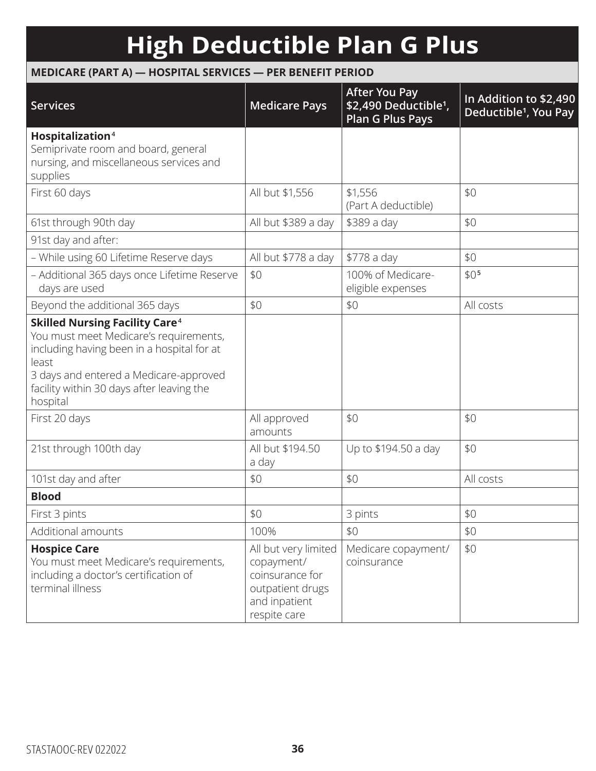# **High Deductible Plan G Plus**

### **MEDICARE (PART A) — HOSPITAL SERVICES — PER BENEFIT PERIOD**

| <b>Services</b>                                                                                                                                                                                                                                      | <b>Medicare Pays</b>                                                                                       | <b>After You Pay</b><br>\$2,490 Deductible <sup>1</sup> ,<br><b>Plan G Plus Pays</b> | In Addition to \$2,490<br>Deductible <sup>1</sup> , You Pay |
|------------------------------------------------------------------------------------------------------------------------------------------------------------------------------------------------------------------------------------------------------|------------------------------------------------------------------------------------------------------------|--------------------------------------------------------------------------------------|-------------------------------------------------------------|
| Hospitalization <sup>4</sup><br>Semiprivate room and board, general<br>nursing, and miscellaneous services and<br>supplies                                                                                                                           |                                                                                                            |                                                                                      |                                                             |
| First 60 days                                                                                                                                                                                                                                        | All but \$1,556                                                                                            | \$1,556<br>(Part A deductible)                                                       | \$0                                                         |
| 61st through 90th day                                                                                                                                                                                                                                | All but \$389 a day                                                                                        | \$389 a day                                                                          | \$0                                                         |
| 91st day and after:                                                                                                                                                                                                                                  |                                                                                                            |                                                                                      |                                                             |
| - While using 60 Lifetime Reserve days                                                                                                                                                                                                               | All but \$778 a day                                                                                        | \$778 a day                                                                          | \$0                                                         |
| - Additional 365 days once Lifetime Reserve<br>days are used                                                                                                                                                                                         | \$0                                                                                                        | 100% of Medicare-<br>eligible expenses                                               | \$0 <sub>5</sub>                                            |
| Beyond the additional 365 days                                                                                                                                                                                                                       | \$0                                                                                                        | \$0                                                                                  | All costs                                                   |
| <b>Skilled Nursing Facility Care<sup>4</sup></b><br>You must meet Medicare's requirements,<br>including having been in a hospital for at<br>least<br>3 days and entered a Medicare-approved<br>facility within 30 days after leaving the<br>hospital |                                                                                                            |                                                                                      |                                                             |
| First 20 days                                                                                                                                                                                                                                        | All approved<br>amounts                                                                                    | \$0                                                                                  | \$0                                                         |
| 21st through 100th day                                                                                                                                                                                                                               | All but \$194.50<br>a day                                                                                  | Up to \$194.50 a day                                                                 | \$0                                                         |
| 101st day and after                                                                                                                                                                                                                                  | \$0                                                                                                        | \$0                                                                                  | All costs                                                   |
| <b>Blood</b>                                                                                                                                                                                                                                         |                                                                                                            |                                                                                      |                                                             |
| First 3 pints                                                                                                                                                                                                                                        | \$0                                                                                                        | 3 pints                                                                              | \$0                                                         |
| Additional amounts                                                                                                                                                                                                                                   | 100%                                                                                                       | \$0                                                                                  | \$0                                                         |
| <b>Hospice Care</b><br>You must meet Medicare's requirements,<br>including a doctor's certification of<br>terminal illness                                                                                                                           | All but very limited<br>copayment/<br>coinsurance for<br>outpatient drugs<br>and inpatient<br>respite care | Medicare copayment/<br>coinsurance                                                   | \$0                                                         |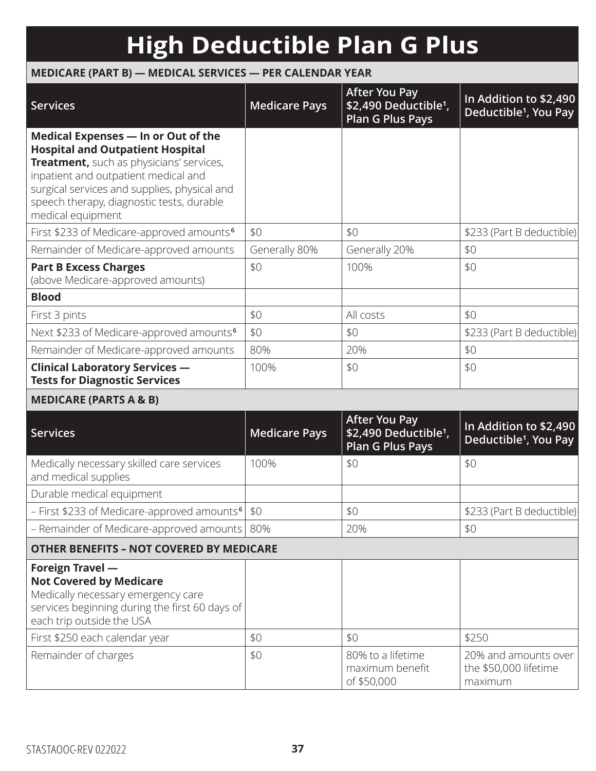# **High Deductible Plan G Plus**

### **MEDICARE (PART B) — MEDICAL SERVICES — PER CALENDAR YEAR**

| <b>Services</b>                                                                                                                                                                                                                                                                                                                               | <b>Medicare Pays</b> | <b>After You Pay</b><br>\$2,490 Deductible <sup>1</sup> ,<br><b>Plan G Plus Pays</b> | In Addition to \$2,490<br>Deductible <sup>1</sup> , You Pay |
|-----------------------------------------------------------------------------------------------------------------------------------------------------------------------------------------------------------------------------------------------------------------------------------------------------------------------------------------------|----------------------|--------------------------------------------------------------------------------------|-------------------------------------------------------------|
| Medical Expenses - In or Out of the<br><b>Hospital and Outpatient Hospital</b><br>Treatment, such as physicians' services,<br>inpatient and outpatient medical and<br>surgical services and supplies, physical and<br>speech therapy, diagnostic tests, durable<br>medical equipment<br>First \$233 of Medicare-approved amounts <sup>6</sup> | \$0                  | \$0                                                                                  | \$233 (Part B deductible)                                   |
| Remainder of Medicare-approved amounts                                                                                                                                                                                                                                                                                                        | Generally 80%        | Generally 20%                                                                        | \$0                                                         |
| <b>Part B Excess Charges</b><br>(above Medicare-approved amounts)                                                                                                                                                                                                                                                                             | \$0                  | 100%                                                                                 | \$0                                                         |
| <b>Blood</b>                                                                                                                                                                                                                                                                                                                                  |                      |                                                                                      |                                                             |
| First 3 pints                                                                                                                                                                                                                                                                                                                                 | \$0                  | All costs                                                                            | \$0                                                         |
| Next \$233 of Medicare-approved amounts <sup>6</sup>                                                                                                                                                                                                                                                                                          | \$0                  | \$0                                                                                  | \$233 (Part B deductible)                                   |
| Remainder of Medicare-approved amounts                                                                                                                                                                                                                                                                                                        | 80%                  | 20%                                                                                  | \$0                                                         |
| <b>Clinical Laboratory Services -</b><br><b>Tests for Diagnostic Services</b>                                                                                                                                                                                                                                                                 | 100%                 | \$0                                                                                  | \$0                                                         |
| <b>MEDICARE (PARTS A &amp; B)</b>                                                                                                                                                                                                                                                                                                             |                      |                                                                                      |                                                             |
| <b>Services</b>                                                                                                                                                                                                                                                                                                                               | <b>Medicare Pays</b> | <b>After You Pay</b><br>\$2,490 Deductible <sup>1</sup> ,<br><b>Plan G Plus Pays</b> | In Addition to \$2,490<br>Deductible <sup>1</sup> , You Pay |
| Medically necessary skilled care services<br>and medical supplies                                                                                                                                                                                                                                                                             | 100%                 | \$0                                                                                  | \$0                                                         |
| Durable medical equipment                                                                                                                                                                                                                                                                                                                     |                      |                                                                                      |                                                             |
| - First \$233 of Medicare-approved amounts <sup>6</sup> \$0                                                                                                                                                                                                                                                                                   |                      | \$0                                                                                  | \$233 (Part B deductible)                                   |
| - Remainder of Medicare-approved amounts                                                                                                                                                                                                                                                                                                      | 80%                  | 20%                                                                                  | \$0                                                         |
| <b>OTHER BENEFITS - NOT COVERED BY MEDICARE</b>                                                                                                                                                                                                                                                                                               |                      |                                                                                      |                                                             |
| Foreign Travel -<br><b>Not Covered by Medicare</b><br>Medically necessary emergency care<br>services beginning during the first 60 days of<br>each trip outside the USA                                                                                                                                                                       |                      |                                                                                      |                                                             |
| First \$250 each calendar year                                                                                                                                                                                                                                                                                                                | \$0                  | \$0                                                                                  | \$250                                                       |
| Remainder of charges                                                                                                                                                                                                                                                                                                                          | \$0                  | 80% to a lifetime<br>maximum benefit<br>of \$50,000                                  | 20% and amounts over<br>the \$50,000 lifetime<br>maximum    |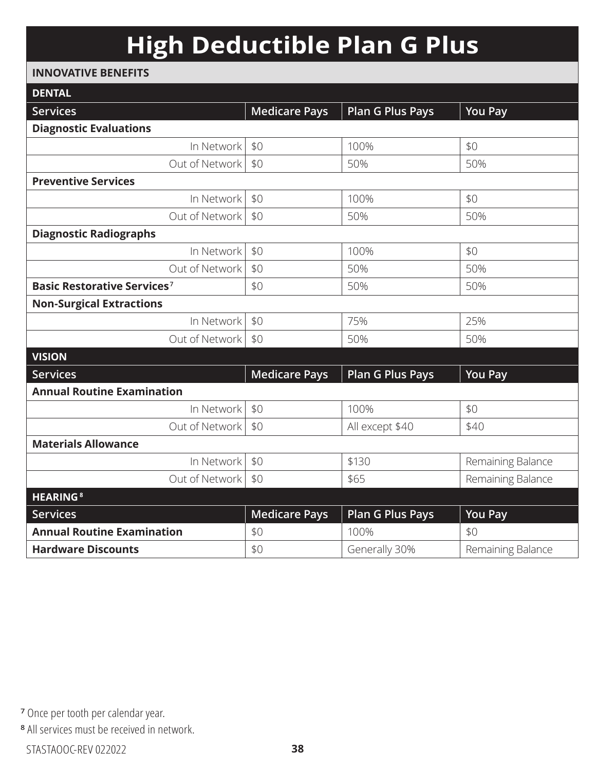# **High Deductible Plan G Plus**

#### **INNOVATIVE BENEFITS**

| <b>DENTAL</b>                                 |                      |                         |                   |
|-----------------------------------------------|----------------------|-------------------------|-------------------|
| <b>Services</b>                               | <b>Medicare Pays</b> | <b>Plan G Plus Pays</b> | <b>You Pay</b>    |
| <b>Diagnostic Evaluations</b>                 |                      |                         |                   |
| In Network                                    | \$0                  | 100%                    | \$0               |
| Out of Network                                | \$0                  | 50%                     | 50%               |
| <b>Preventive Services</b>                    |                      |                         |                   |
| In Network                                    | \$0                  | 100%                    | \$0               |
| Out of Network                                | \$0                  | 50%                     | 50%               |
| <b>Diagnostic Radiographs</b>                 |                      |                         |                   |
| In Network                                    | \$0                  | 100%                    | \$0               |
| Out of Network                                | \$0                  | 50%                     | 50%               |
| <b>Basic Restorative Services<sup>7</sup></b> | \$0                  | 50%                     | 50%               |
| <b>Non-Surgical Extractions</b>               |                      |                         |                   |
| In Network                                    | \$0                  | 75%                     | 25%               |
| Out of Network                                | \$0                  | 50%                     | 50%               |
| <b>VISION</b>                                 |                      |                         |                   |
| <b>Services</b>                               | <b>Medicare Pays</b> | <b>Plan G Plus Pays</b> | <b>You Pay</b>    |
| <b>Annual Routine Examination</b>             |                      |                         |                   |
| In Network                                    | \$0                  | 100%                    | \$0               |
| Out of Network                                | \$0                  | All except \$40         | \$40              |
| <b>Materials Allowance</b>                    |                      |                         |                   |
| In Network                                    | \$0                  | \$130                   | Remaining Balance |
| Out of Network                                | \$0                  | \$65                    | Remaining Balance |
| <b>HEARING<sup>8</sup></b>                    |                      |                         |                   |
| <b>Services</b>                               | <b>Medicare Pays</b> | <b>Plan G Plus Pays</b> | <b>You Pay</b>    |
| <b>Annual Routine Examination</b>             | \$0                  | 100%                    | \$0               |
| <b>Hardware Discounts</b>                     | \$0                  | Generally 30%           | Remaining Balance |

**<sup>7</sup>** Once per tooth per calendar year.

**<sup>8</sup>** All services must be received in network.

STASTAOOC-REV 022022 **38**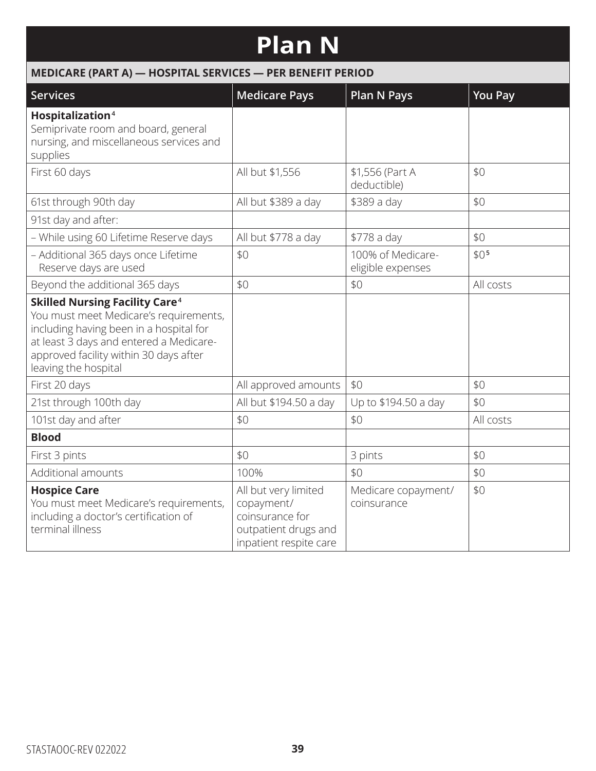## **Plan N**

| MEDICARE (PART A) - HOSPITAL SERVICES - PER BENEFIT PERIOD                                                                                                                                                                                         |                                                                                                         |                                        |                  |
|----------------------------------------------------------------------------------------------------------------------------------------------------------------------------------------------------------------------------------------------------|---------------------------------------------------------------------------------------------------------|----------------------------------------|------------------|
| Services                                                                                                                                                                                                                                           | <b>Medicare Pays</b>                                                                                    | <b>Plan N Pays</b>                     | <b>You Pay</b>   |
| Hospitalization <sup>4</sup><br>Semiprivate room and board, general<br>nursing, and miscellaneous services and<br>supplies                                                                                                                         |                                                                                                         |                                        |                  |
| First 60 days                                                                                                                                                                                                                                      | All but \$1,556                                                                                         | \$1,556 (Part A<br>deductible)         | \$0              |
| 61st through 90th day                                                                                                                                                                                                                              | All but \$389 a day                                                                                     | \$389 a day                            | \$0              |
| 91st day and after:                                                                                                                                                                                                                                |                                                                                                         |                                        |                  |
| - While using 60 Lifetime Reserve days                                                                                                                                                                                                             | All but \$778 a day                                                                                     | \$778 a day                            | \$0              |
| - Additional 365 days once Lifetime<br>Reserve days are used                                                                                                                                                                                       | \$0                                                                                                     | 100% of Medicare-<br>eligible expenses | \$0 <sub>5</sub> |
| Beyond the additional 365 days                                                                                                                                                                                                                     | \$0                                                                                                     | \$0                                    | All costs        |
| <b>Skilled Nursing Facility Care<sup>4</sup></b><br>You must meet Medicare's requirements,<br>including having been in a hospital for<br>at least 3 days and entered a Medicare-<br>approved facility within 30 days after<br>leaving the hospital |                                                                                                         |                                        |                  |
| First 20 days                                                                                                                                                                                                                                      | All approved amounts                                                                                    | \$0                                    | \$0              |
| 21st through 100th day                                                                                                                                                                                                                             | All but \$194.50 a day                                                                                  | Up to \$194.50 a day                   | \$0              |
| 101st day and after                                                                                                                                                                                                                                | \$0                                                                                                     | \$0                                    | All costs        |
| <b>Blood</b>                                                                                                                                                                                                                                       |                                                                                                         |                                        |                  |
| First 3 pints                                                                                                                                                                                                                                      | \$0                                                                                                     | 3 pints                                | \$0              |
| Additional amounts                                                                                                                                                                                                                                 | 100%                                                                                                    | \$0                                    | \$0              |
| <b>Hospice Care</b><br>You must meet Medicare's requirements,<br>including a doctor's certification of<br>terminal illness                                                                                                                         | All but very limited<br>copayment/<br>coinsurance for<br>outpatient drugs and<br>inpatient respite care | Medicare copayment/<br>coinsurance     | \$0              |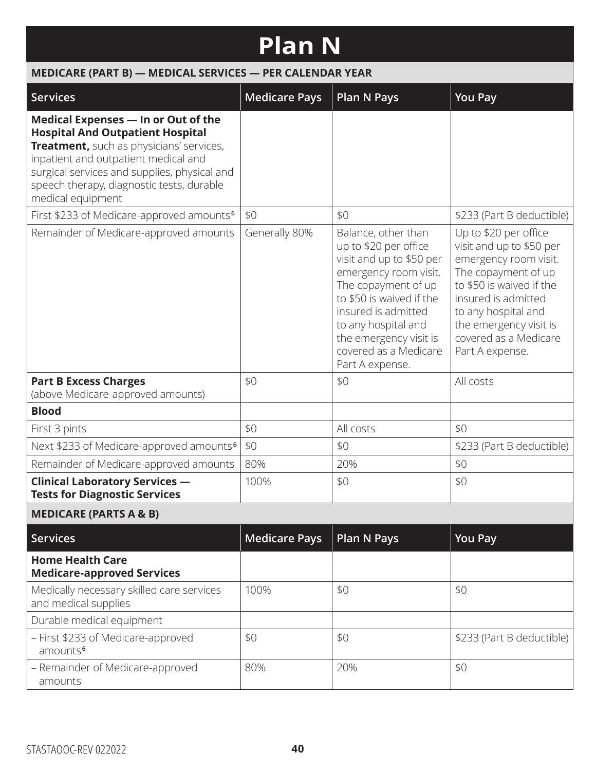## **Plan N**

| MEDICARE (PART B) - MEDICAL SERVICES - PER CALENDAR YEAR                                                                                                                                                                                                                             |                      |                                                                                                                                                                                                                                                                          |                                                                                                                                                                                                                                                   |
|--------------------------------------------------------------------------------------------------------------------------------------------------------------------------------------------------------------------------------------------------------------------------------------|----------------------|--------------------------------------------------------------------------------------------------------------------------------------------------------------------------------------------------------------------------------------------------------------------------|---------------------------------------------------------------------------------------------------------------------------------------------------------------------------------------------------------------------------------------------------|
| <b>Services</b>                                                                                                                                                                                                                                                                      | <b>Medicare Pays</b> | <b>Plan N Pays</b>                                                                                                                                                                                                                                                       | <b>You Pay</b>                                                                                                                                                                                                                                    |
| Medical Expenses - In or Out of the<br><b>Hospital And Outpatient Hospital</b><br>Treatment, such as physicians' services,<br>inpatient and outpatient medical and<br>surgical services and supplies, physical and<br>speech therapy, diagnostic tests, durable<br>medical equipment |                      |                                                                                                                                                                                                                                                                          |                                                                                                                                                                                                                                                   |
| First \$233 of Medicare-approved amounts <sup>6</sup>                                                                                                                                                                                                                                | \$0                  | \$0                                                                                                                                                                                                                                                                      | \$233 (Part B deductible)                                                                                                                                                                                                                         |
| Remainder of Medicare-approved amounts                                                                                                                                                                                                                                               | Generally 80%        | Balance, other than<br>up to \$20 per office<br>visit and up to \$50 per<br>emergency room visit.<br>The copayment of up<br>to \$50 is waived if the<br>insured is admitted<br>to any hospital and<br>the emergency visit is<br>covered as a Medicare<br>Part A expense. | Up to \$20 per office<br>visit and up to \$50 per<br>emergency room visit.<br>The copayment of up<br>to \$50 is waived if the<br>insured is admitted<br>to any hospital and<br>the emergency visit is<br>covered as a Medicare<br>Part A expense. |
| <b>Part B Excess Charges</b><br>(above Medicare-approved amounts)                                                                                                                                                                                                                    | \$0                  | \$0                                                                                                                                                                                                                                                                      | All costs                                                                                                                                                                                                                                         |
| <b>Blood</b>                                                                                                                                                                                                                                                                         |                      |                                                                                                                                                                                                                                                                          |                                                                                                                                                                                                                                                   |
| First 3 pints                                                                                                                                                                                                                                                                        | \$0                  | All costs                                                                                                                                                                                                                                                                | \$0                                                                                                                                                                                                                                               |
| Next \$233 of Medicare-approved amounts <sup>6</sup>                                                                                                                                                                                                                                 | \$0                  | \$0                                                                                                                                                                                                                                                                      | \$233 (Part B deductible)                                                                                                                                                                                                                         |
| Remainder of Medicare-approved amounts                                                                                                                                                                                                                                               | 80%                  | 20%                                                                                                                                                                                                                                                                      | \$0                                                                                                                                                                                                                                               |
| <b>Clinical Laboratory Services -</b><br><b>Tests for Diagnostic Services</b>                                                                                                                                                                                                        | 100%                 | \$0                                                                                                                                                                                                                                                                      | \$0                                                                                                                                                                                                                                               |
| <b>MEDICARE (PARTS A &amp; B)</b>                                                                                                                                                                                                                                                    |                      |                                                                                                                                                                                                                                                                          |                                                                                                                                                                                                                                                   |
| <b>Services</b>                                                                                                                                                                                                                                                                      | <b>Medicare Pays</b> | <b>Plan N Pays</b>                                                                                                                                                                                                                                                       | <b>You Pay</b>                                                                                                                                                                                                                                    |
| <b>Home Health Care</b><br><b>Medicare-approved Services</b>                                                                                                                                                                                                                         |                      |                                                                                                                                                                                                                                                                          |                                                                                                                                                                                                                                                   |
| Medically necessary skilled care services<br>and medical supplies                                                                                                                                                                                                                    | 100%                 | \$0                                                                                                                                                                                                                                                                      | \$0                                                                                                                                                                                                                                               |
| Durable medical equipment                                                                                                                                                                                                                                                            |                      |                                                                                                                                                                                                                                                                          |                                                                                                                                                                                                                                                   |
| - First \$233 of Medicare-approved<br>amounts <sup>6</sup>                                                                                                                                                                                                                           | \$0                  | \$0                                                                                                                                                                                                                                                                      | \$233 (Part B deductible)                                                                                                                                                                                                                         |
| - Remainder of Medicare-approved                                                                                                                                                                                                                                                     | 80%                  | 20%                                                                                                                                                                                                                                                                      | \$0                                                                                                                                                                                                                                               |

amounts